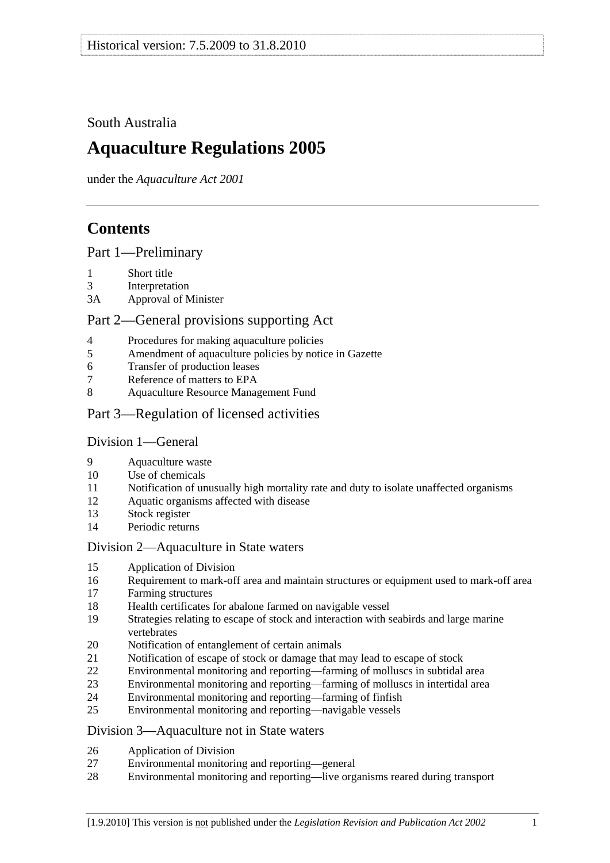## <span id="page-0-0"></span>South Australia

# **Aquaculture Regulations 2005**

under the *Aquaculture Act 2001*

# **Contents**

[Part 1—Preliminary](#page-1-0)

- [1 Short title](#page-1-0)
- [3 Interpretation](#page-1-0)
- [3A Approval of Minister](#page-2-0)

## [Part 2—General provisions supporting Act](#page-3-0)

- [4 Procedures for making aquaculture policies](#page-3-0)
- [5 Amendment of aquaculture policies by notice in Gazette](#page-3-0)
- [6 Transfer of production leases](#page-3-0)
- [7 Reference of matters to EPA](#page-4-0)
- [8 Aquaculture Resource Management Fund](#page-4-0)
- [Part 3—Regulation of licensed activities](#page-4-0)

## [Division 1—General](#page-4-0)

- [9 Aquaculture waste](#page-4-0)
- [10 Use of chemicals](#page-4-0)
- [11 Notification of unusually high mortality rate and duty to isolate unaffected organisms](#page-5-0)
- [12 Aquatic organisms affected with disease](#page-6-0)
- [13 Stock register](#page-6-0)
- [14 Periodic returns](#page-8-0)

## [Division 2—Aquaculture in State waters](#page-8-0)

- [15 Application of Division](#page-8-0)
- [16 Requirement to mark-off area and maintain structures or equipment used to mark-off area](#page-8-0)
- [17 Farming structures](#page-8-0)
- [18 Health certificates for abalone farmed on navigable vessel](#page-9-0)
- [19 Strategies relating to escape of stock and interaction with seabirds and large marine](#page-10-0)  [vertebrates](#page-10-0)
- [20 Notification of entanglement of certain animals](#page-11-0)
- [21 Notification of escape of stock or damage that may lead to escape of stock](#page-11-0)
- [22 Environmental monitoring and reporting—farming of molluscs in subtidal area](#page-11-0)
- [23 Environmental monitoring and reporting—farming of molluscs in intertidal area](#page-14-0)
- [24 Environmental monitoring and reporting—farming of finfish](#page-15-0)
- [25 Environmental monitoring and reporting—navigable vessels](#page-18-0)

## [Division 3—Aquaculture not in State waters](#page-19-0)

- [26 Application of Division](#page-19-0)
- [27 Environmental monitoring and reporting—general](#page-19-0)
- [28 Environmental monitoring and reporting—live organisms reared during transport](#page-21-0)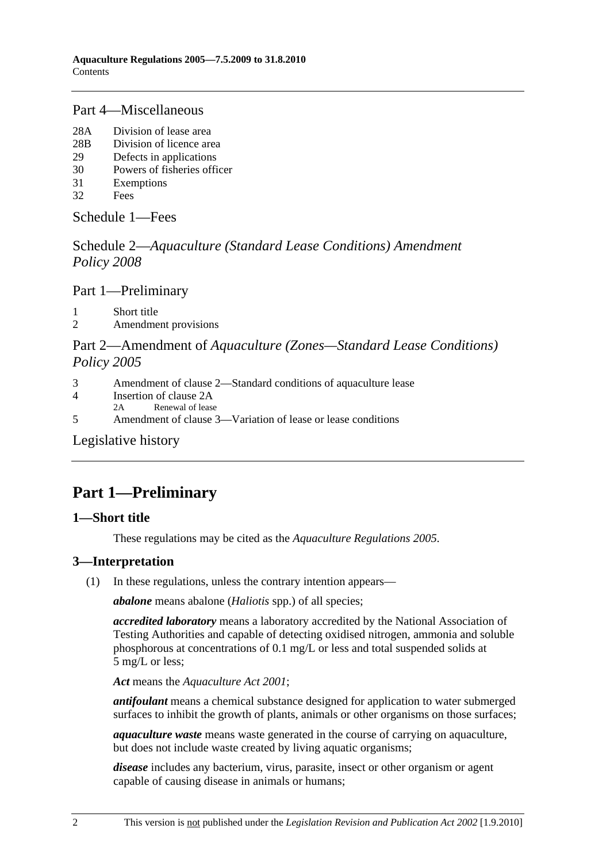## <span id="page-1-0"></span>[Part 4—Miscellaneous](#page-22-0)

- [28A Division of lease area](#page-22-0)
- [28B Division of licence area](#page-23-0)
- [29 Defects in applications](#page-24-0)
- [30 Powers of fisheries officer](#page-24-0)
- [31 Exemptions](#page-24-0)
- [32 Fees](#page-25-0)

[Schedule 1—Fees](#page-27-0)

Schedule 2—*[Aquaculture \(Standard Lease Conditions\) Amendment](#page-29-0)  [Policy 2008](#page-29-0)*

[Part 1—Preliminary](#page-29-0)

[1 Short title](#page-29-0) 

[2 Amendment provisions](#page-29-0) 

## Part 2—Amendment of *[Aquaculture \(Zones—Standard Lease Conditions\)](#page-29-0)  [Policy 2005](#page-29-0)*

- [3 Amendment of clause 2—Standard conditions of aquaculture lease](#page-29-0)
- [4 Insertion of clause 2A](#page-29-0)
- [2A Renewal of lease](#page-0-0)
- [5 Amendment of clause 3—Variation of lease or lease conditions](#page-29-0)

[Legislative history](#page-31-0) 

# **Part 1—Preliminary**

## **1—Short title**

These regulations may be cited as the *Aquaculture Regulations 2005*.

## **3—Interpretation**

(1) In these regulations, unless the contrary intention appears—

*abalone* means abalone (*Haliotis* spp.) of all species;

*accredited laboratory* means a laboratory accredited by the National Association of Testing Authorities and capable of detecting oxidised nitrogen, ammonia and soluble phosphorous at concentrations of 0.1 mg/L or less and total suspended solids at 5 mg/L or less;

*Act* means the *[Aquaculture Act 2001](http://www.legislation.sa.gov.au/index.aspx?action=legref&type=act&legtitle=Aquaculture%20Act%202001)*;

*antifoulant* means a chemical substance designed for application to water submerged surfaces to inhibit the growth of plants, animals or other organisms on those surfaces;

*aquaculture waste* means waste generated in the course of carrying on aquaculture, but does not include waste created by living aquatic organisms;

*disease* includes any bacterium, virus, parasite, insect or other organism or agent capable of causing disease in animals or humans;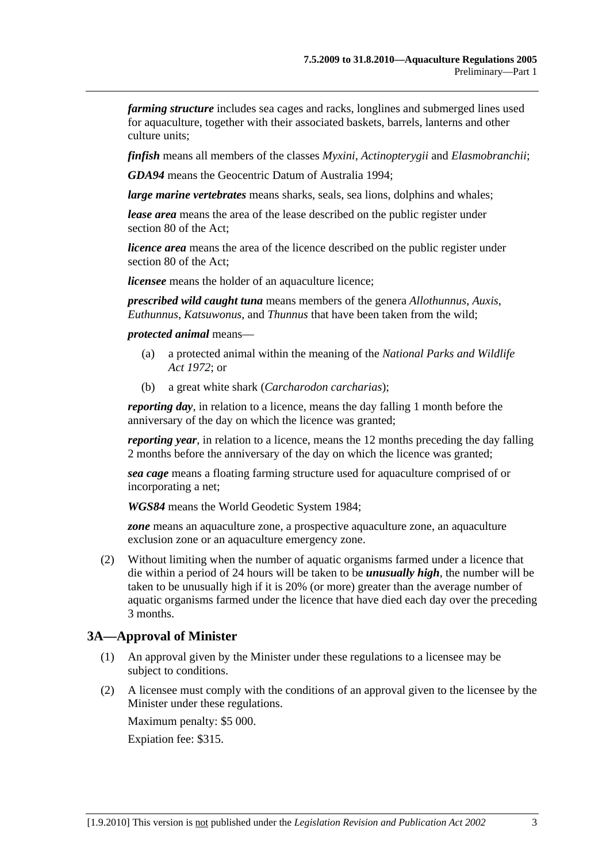<span id="page-2-0"></span>*farming structure* includes sea cages and racks, longlines and submerged lines used for aquaculture, together with their associated baskets, barrels, lanterns and other culture units;

*finfish* means all members of the classes *Myxini*, *Actinopterygii* and *Elasmobranchii*;

*GDA94* means the Geocentric Datum of Australia 1994;

*large marine vertebrates* means sharks, seals, sea lions, dolphins and whales;

*lease area* means the area of the lease described on the public register under section 80 of the Act;

*licence area* means the area of the licence described on the public register under section 80 of the Act;

*licensee* means the holder of an aquaculture licence;

*prescribed wild caught tuna* means members of the genera *Allothunnus*, *Auxis*, *Euthunnus*, *Katsuwonus*, and *Thunnus* that have been taken from the wild;

*protected animal* means—

- (a) a protected animal within the meaning of the *[National Parks and Wildlife](http://www.legislation.sa.gov.au/index.aspx?action=legref&type=act&legtitle=National%20Parks%20and%20Wildlife%20Act%201972)  [Act 1972](http://www.legislation.sa.gov.au/index.aspx?action=legref&type=act&legtitle=National%20Parks%20and%20Wildlife%20Act%201972)*; or
- (b) a great white shark (*Carcharodon carcharias*);

*reporting day*, in relation to a licence, means the day falling 1 month before the anniversary of the day on which the licence was granted;

*reporting year*, in relation to a licence, means the 12 months preceding the day falling 2 months before the anniversary of the day on which the licence was granted;

*sea cage* means a floating farming structure used for aquaculture comprised of or incorporating a net;

*WGS84* means the World Geodetic System 1984;

*zone* means an aquaculture zone, a prospective aquaculture zone, an aquaculture exclusion zone or an aquaculture emergency zone.

 (2) Without limiting when the number of aquatic organisms farmed under a licence that die within a period of 24 hours will be taken to be *unusually high*, the number will be taken to be unusually high if it is 20% (or more) greater than the average number of aquatic organisms farmed under the licence that have died each day over the preceding 3 months.

#### **3A—Approval of Minister**

- (1) An approval given by the Minister under these regulations to a licensee may be subject to conditions.
- (2) A licensee must comply with the conditions of an approval given to the licensee by the Minister under these regulations.

Maximum penalty: \$5 000. Expiation fee: \$315.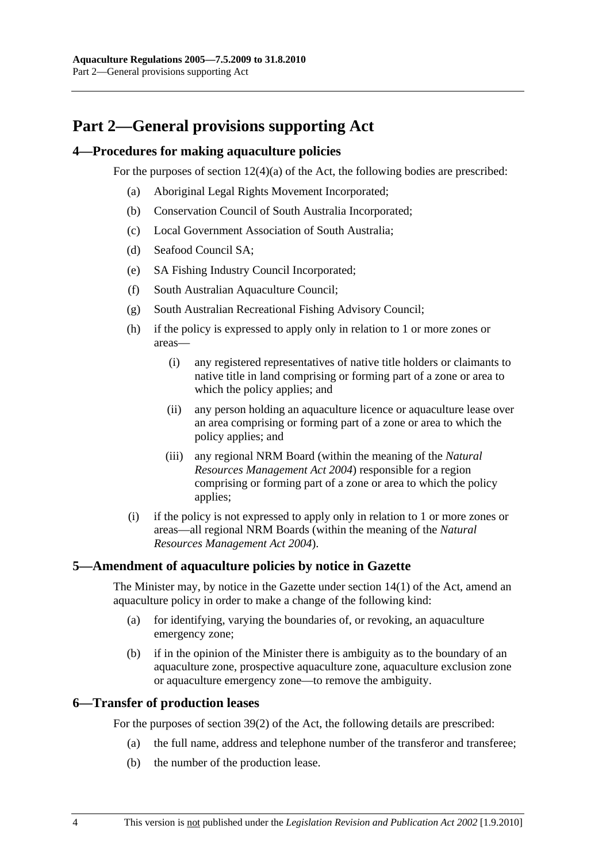# <span id="page-3-0"></span>**Part 2—General provisions supporting Act**

### **4—Procedures for making aquaculture policies**

For the purposes of section 12(4)(a) of the Act, the following bodies are prescribed:

- (a) Aboriginal Legal Rights Movement Incorporated;
- (b) Conservation Council of South Australia Incorporated;
- (c) Local Government Association of South Australia;
- (d) Seafood Council SA;
- (e) SA Fishing Industry Council Incorporated;
- (f) South Australian Aquaculture Council;
- (g) South Australian Recreational Fishing Advisory Council;
- (h) if the policy is expressed to apply only in relation to 1 or more zones or areas—
	- (i) any registered representatives of native title holders or claimants to native title in land comprising or forming part of a zone or area to which the policy applies; and
	- (ii) any person holding an aquaculture licence or aquaculture lease over an area comprising or forming part of a zone or area to which the policy applies; and
	- (iii) any regional NRM Board (within the meaning of the *[Natural](http://www.legislation.sa.gov.au/index.aspx?action=legref&type=act&legtitle=Natural%20Resources%20Management%20Act%202004)  [Resources Management Act 2004](http://www.legislation.sa.gov.au/index.aspx?action=legref&type=act&legtitle=Natural%20Resources%20Management%20Act%202004)*) responsible for a region comprising or forming part of a zone or area to which the policy applies;
- (i) if the policy is not expressed to apply only in relation to 1 or more zones or areas—all regional NRM Boards (within the meaning of the *[Natural](http://www.legislation.sa.gov.au/index.aspx?action=legref&type=act&legtitle=Natural%20Resources%20Management%20Act%202004)  [Resources Management Act 2004](http://www.legislation.sa.gov.au/index.aspx?action=legref&type=act&legtitle=Natural%20Resources%20Management%20Act%202004)*).

#### **5—Amendment of aquaculture policies by notice in Gazette**

The Minister may, by notice in the Gazette under section 14(1) of the Act, amend an aquaculture policy in order to make a change of the following kind:

- (a) for identifying, varying the boundaries of, or revoking, an aquaculture emergency zone;
- (b) if in the opinion of the Minister there is ambiguity as to the boundary of an aquaculture zone, prospective aquaculture zone, aquaculture exclusion zone or aquaculture emergency zone—to remove the ambiguity.

#### **6—Transfer of production leases**

For the purposes of section 39(2) of the Act, the following details are prescribed:

- (a) the full name, address and telephone number of the transferor and transferee;
- (b) the number of the production lease.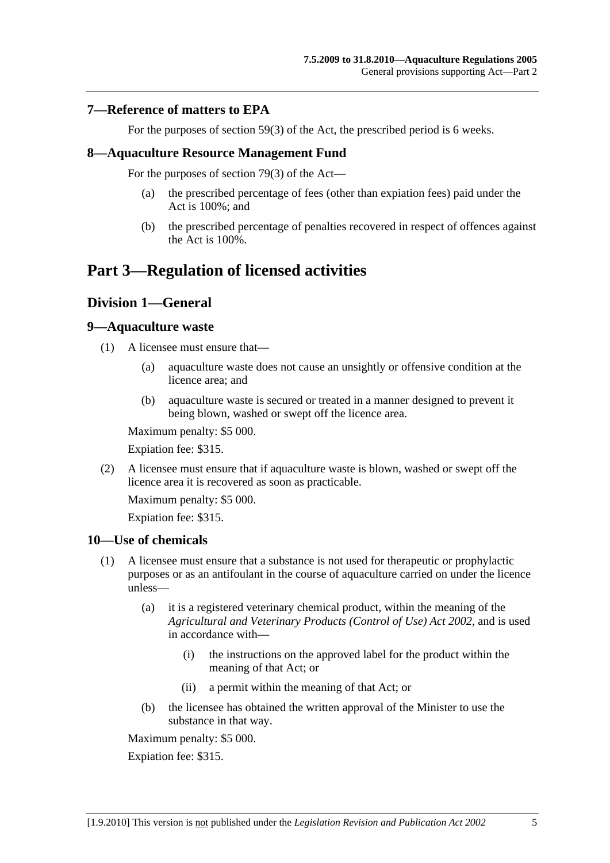#### <span id="page-4-0"></span>**7—Reference of matters to EPA**

For the purposes of section 59(3) of the Act, the prescribed period is 6 weeks.

#### **8—Aquaculture Resource Management Fund**

For the purposes of section 79(3) of the Act—

- (a) the prescribed percentage of fees (other than expiation fees) paid under the Act is 100%; and
- (b) the prescribed percentage of penalties recovered in respect of offences against the Act is 100%.

# **Part 3—Regulation of licensed activities**

## **Division 1—General**

#### **9—Aquaculture waste**

- (1) A licensee must ensure that—
	- (a) aquaculture waste does not cause an unsightly or offensive condition at the licence area; and
	- (b) aquaculture waste is secured or treated in a manner designed to prevent it being blown, washed or swept off the licence area.

Maximum penalty: \$5 000.

Expiation fee: \$315.

 (2) A licensee must ensure that if aquaculture waste is blown, washed or swept off the licence area it is recovered as soon as practicable.

Maximum penalty: \$5 000.

Expiation fee: \$315.

#### **10—Use of chemicals**

- (1) A licensee must ensure that a substance is not used for therapeutic or prophylactic purposes or as an antifoulant in the course of aquaculture carried on under the licence unless—
	- (a) it is a registered veterinary chemical product, within the meaning of the *[Agricultural and Veterinary Products \(Control of Use\) Act 2002](http://www.legislation.sa.gov.au/index.aspx?action=legref&type=act&legtitle=Agricultural%20and%20Veterinary%20Products%20(Control%20of%20Use)%20Act%202002)*, and is used in accordance with—
		- (i) the instructions on the approved label for the product within the meaning of that Act; or
		- (ii) a permit within the meaning of that Act; or
	- (b) the licensee has obtained the written approval of the Minister to use the substance in that way.

Maximum penalty: \$5 000.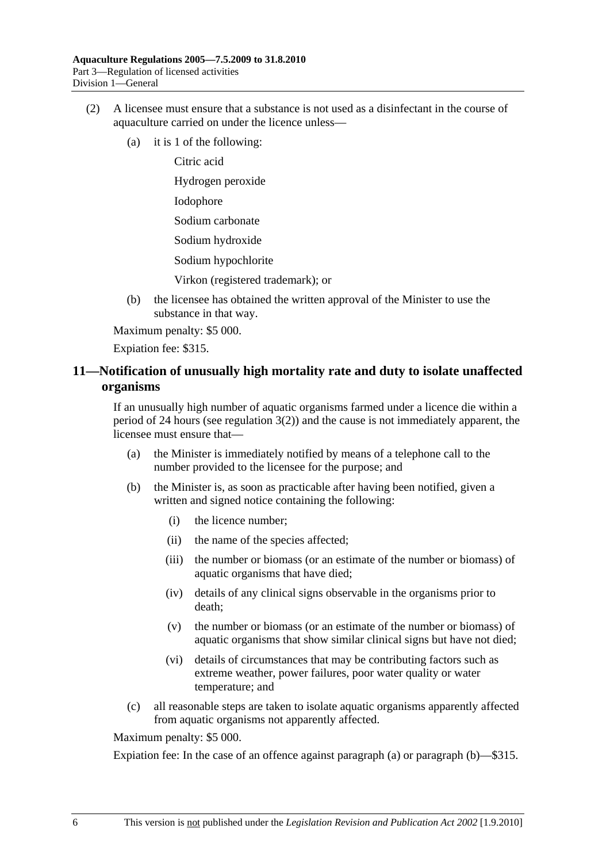- <span id="page-5-0"></span> (2) A licensee must ensure that a substance is not used as a disinfectant in the course of aquaculture carried on under the licence unless—
	- (a) it is 1 of the following:

Citric acid Hydrogen peroxide Iodophore Sodium carbonate Sodium hydroxide Sodium hypochlorite Virkon (registered trademark); or

 (b) the licensee has obtained the written approval of the Minister to use the substance in that way.

Maximum penalty: \$5 000.

Expiation fee: \$315.

## **11—Notification of unusually high mortality rate and duty to isolate unaffected organisms**

If an unusually high number of aquatic organisms farmed under a licence die within a period of 24 hours (see [regulation 3\(2\)](#page-2-0)) and the cause is not immediately apparent, the licensee must ensure that—

- (a) the Minister is immediately notified by means of a telephone call to the number provided to the licensee for the purpose; and
- (b) the Minister is, as soon as practicable after having been notified, given a written and signed notice containing the following:
	- (i) the licence number;
	- (ii) the name of the species affected;
	- (iii) the number or biomass (or an estimate of the number or biomass) of aquatic organisms that have died;
	- (iv) details of any clinical signs observable in the organisms prior to death;
	- (v) the number or biomass (or an estimate of the number or biomass) of aquatic organisms that show similar clinical signs but have not died;
	- (vi) details of circumstances that may be contributing factors such as extreme weather, power failures, poor water quality or water temperature; and
- (c) all reasonable steps are taken to isolate aquatic organisms apparently affected from aquatic organisms not apparently affected.

Maximum penalty: \$5 000.

Expiation fee: In the case of an offence against [paragraph \(a\)](#page-5-0) or [paragraph \(b\)—](#page-5-0)\$315.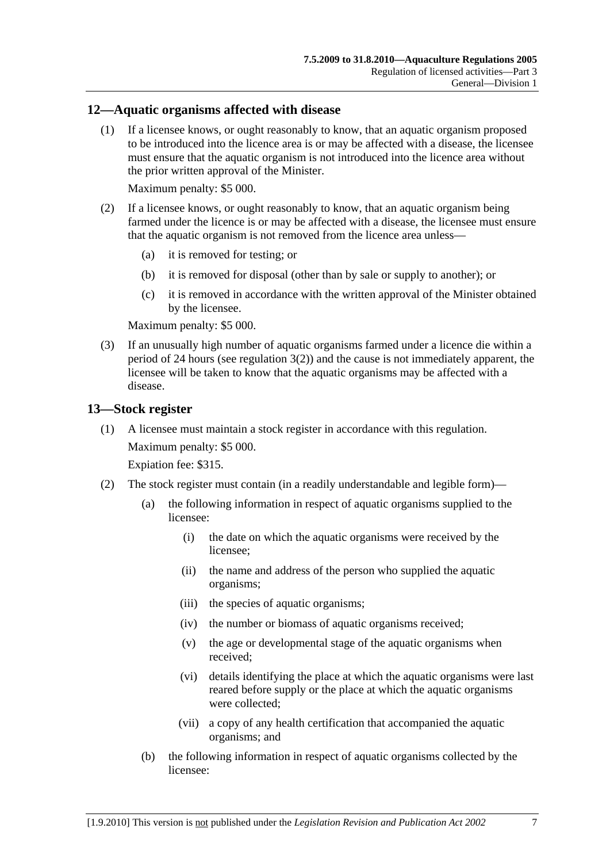#### <span id="page-6-0"></span>**12—Aquatic organisms affected with disease**

 (1) If a licensee knows, or ought reasonably to know, that an aquatic organism proposed to be introduced into the licence area is or may be affected with a disease, the licensee must ensure that the aquatic organism is not introduced into the licence area without the prior written approval of the Minister.

Maximum penalty: \$5 000.

- (2) If a licensee knows, or ought reasonably to know, that an aquatic organism being farmed under the licence is or may be affected with a disease, the licensee must ensure that the aquatic organism is not removed from the licence area unless—
	- (a) it is removed for testing; or
	- (b) it is removed for disposal (other than by sale or supply to another); or
	- (c) it is removed in accordance with the written approval of the Minister obtained by the licensee.

Maximum penalty: \$5 000.

 (3) If an unusually high number of aquatic organisms farmed under a licence die within a period of 24 hours (see regulation  $3(2)$ ) and the cause is not immediately apparent, the licensee will be taken to know that the aquatic organisms may be affected with a disease.

#### **13—Stock register**

 (1) A licensee must maintain a stock register in accordance with this regulation. Maximum penalty: \$5 000.

- (2) The stock register must contain (in a readily understandable and legible form)—
	- (a) the following information in respect of aquatic organisms supplied to the licensee:
		- (i) the date on which the aquatic organisms were received by the licensee;
		- (ii) the name and address of the person who supplied the aquatic organisms;
		- (iii) the species of aquatic organisms;
		- (iv) the number or biomass of aquatic organisms received;
		- (v) the age or developmental stage of the aquatic organisms when received;
		- (vi) details identifying the place at which the aquatic organisms were last reared before supply or the place at which the aquatic organisms were collected;
		- (vii) a copy of any health certification that accompanied the aquatic organisms; and
	- (b) the following information in respect of aquatic organisms collected by the licensee: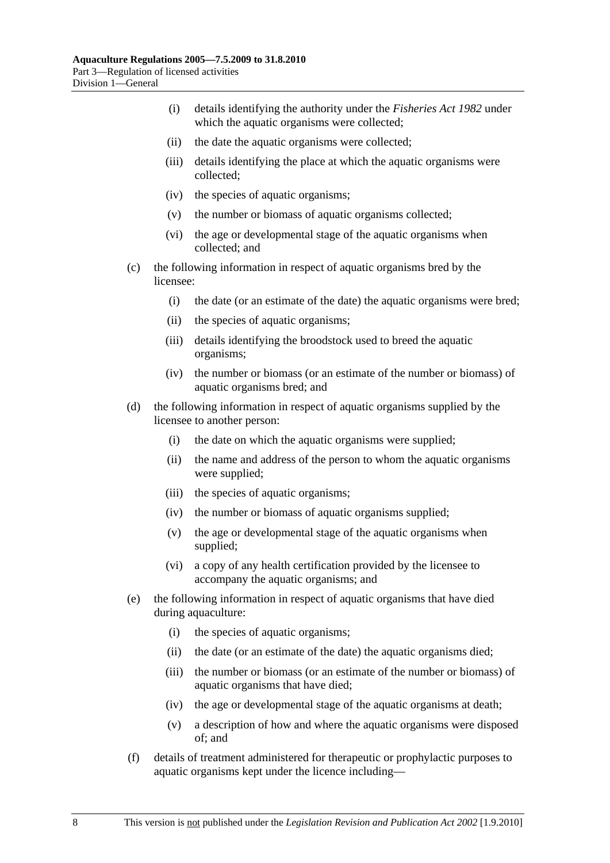- (i) details identifying the authority under the *[Fisheries Act 1982](http://www.legislation.sa.gov.au/index.aspx?action=legref&type=act&legtitle=Fisheries%20Act%201982)* under which the aquatic organisms were collected;
- (ii) the date the aquatic organisms were collected;
- (iii) details identifying the place at which the aquatic organisms were collected;
- (iv) the species of aquatic organisms;
- (v) the number or biomass of aquatic organisms collected;
- (vi) the age or developmental stage of the aquatic organisms when collected; and
- (c) the following information in respect of aquatic organisms bred by the licensee:
	- (i) the date (or an estimate of the date) the aquatic organisms were bred;
	- (ii) the species of aquatic organisms;
	- (iii) details identifying the broodstock used to breed the aquatic organisms;
	- (iv) the number or biomass (or an estimate of the number or biomass) of aquatic organisms bred; and
- (d) the following information in respect of aquatic organisms supplied by the licensee to another person:
	- (i) the date on which the aquatic organisms were supplied;
	- (ii) the name and address of the person to whom the aquatic organisms were supplied;
	- (iii) the species of aquatic organisms;
	- (iv) the number or biomass of aquatic organisms supplied;
	- (v) the age or developmental stage of the aquatic organisms when supplied;
	- (vi) a copy of any health certification provided by the licensee to accompany the aquatic organisms; and
- (e) the following information in respect of aquatic organisms that have died during aquaculture:
	- (i) the species of aquatic organisms;
	- (ii) the date (or an estimate of the date) the aquatic organisms died;
	- (iii) the number or biomass (or an estimate of the number or biomass) of aquatic organisms that have died;
	- (iv) the age or developmental stage of the aquatic organisms at death;
	- (v) a description of how and where the aquatic organisms were disposed of; and
- (f) details of treatment administered for therapeutic or prophylactic purposes to aquatic organisms kept under the licence including—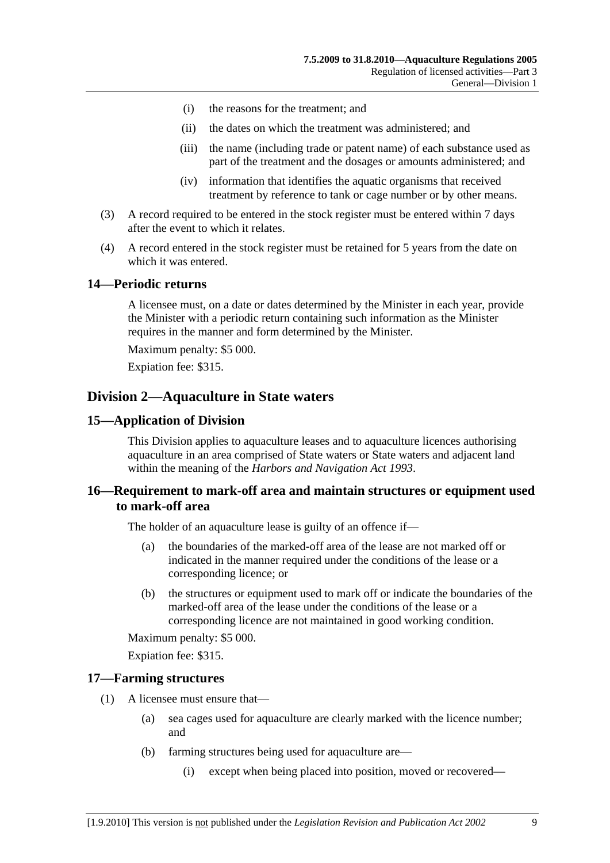- <span id="page-8-0"></span>(i) the reasons for the treatment; and
- (ii) the dates on which the treatment was administered; and
- (iii) the name (including trade or patent name) of each substance used as part of the treatment and the dosages or amounts administered; and
- (iv) information that identifies the aquatic organisms that received treatment by reference to tank or cage number or by other means.
- (3) A record required to be entered in the stock register must be entered within 7 days after the event to which it relates.
- (4) A record entered in the stock register must be retained for 5 years from the date on which it was entered.

#### **14—Periodic returns**

A licensee must, on a date or dates determined by the Minister in each year, provide the Minister with a periodic return containing such information as the Minister requires in the manner and form determined by the Minister.

Maximum penalty: \$5 000.

Expiation fee: \$315.

#### **Division 2—Aquaculture in State waters**

#### **15—Application of Division**

This Division applies to aquaculture leases and to aquaculture licences authorising aquaculture in an area comprised of State waters or State waters and adjacent land within the meaning of the *[Harbors and Navigation Act 1993](http://www.legislation.sa.gov.au/index.aspx?action=legref&type=act&legtitle=Harbors%20and%20Navigation%20Act%201993)*.

#### **16—Requirement to mark-off area and maintain structures or equipment used to mark-off area**

The holder of an aquaculture lease is guilty of an offence if—

- (a) the boundaries of the marked-off area of the lease are not marked off or indicated in the manner required under the conditions of the lease or a corresponding licence; or
- (b) the structures or equipment used to mark off or indicate the boundaries of the marked-off area of the lease under the conditions of the lease or a corresponding licence are not maintained in good working condition.

Maximum penalty: \$5 000.

Expiation fee: \$315.

#### **17—Farming structures**

- (1) A licensee must ensure that—
	- (a) sea cages used for aquaculture are clearly marked with the licence number; and
	- (b) farming structures being used for aquaculture are—
		- (i) except when being placed into position, moved or recovered—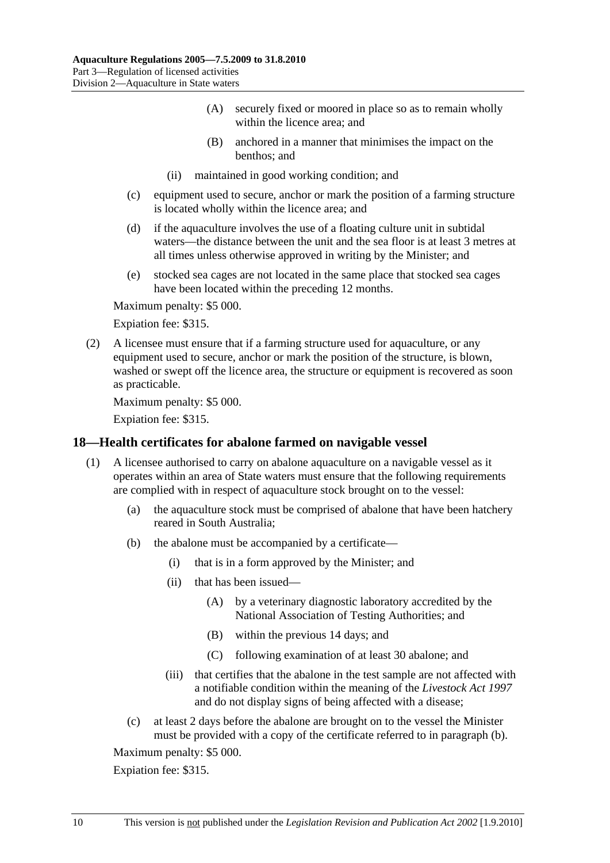- (A) securely fixed or moored in place so as to remain wholly within the licence area; and
- (B) anchored in a manner that minimises the impact on the benthos; and
- (ii) maintained in good working condition; and
- <span id="page-9-0"></span> (c) equipment used to secure, anchor or mark the position of a farming structure is located wholly within the licence area; and
- (d) if the aquaculture involves the use of a floating culture unit in subtidal waters—the distance between the unit and the sea floor is at least 3 metres at all times unless otherwise approved in writing by the Minister; and
- (e) stocked sea cages are not located in the same place that stocked sea cages have been located within the preceding 12 months.

Expiation fee: \$315.

 (2) A licensee must ensure that if a farming structure used for aquaculture, or any equipment used to secure, anchor or mark the position of the structure, is blown, washed or swept off the licence area, the structure or equipment is recovered as soon as practicable.

Maximum penalty: \$5 000.

Expiation fee: \$315.

#### **18—Health certificates for abalone farmed on navigable vessel**

- (1) A licensee authorised to carry on abalone aquaculture on a navigable vessel as it operates within an area of State waters must ensure that the following requirements are complied with in respect of aquaculture stock brought on to the vessel:
	- (a) the aquaculture stock must be comprised of abalone that have been hatchery reared in South Australia;
	- (b) the abalone must be accompanied by a certificate—
		- (i) that is in a form approved by the Minister; and
		- (ii) that has been issued—
			- (A) by a veterinary diagnostic laboratory accredited by the National Association of Testing Authorities; and
			- (B) within the previous 14 days; and
			- (C) following examination of at least 30 abalone; and
		- (iii) that certifies that the abalone in the test sample are not affected with a notifiable condition within the meaning of the *[Livestock Act 1997](http://www.legislation.sa.gov.au/index.aspx?action=legref&type=act&legtitle=Livestock%20Act%201997)* and do not display signs of being affected with a disease;
	- (c) at least 2 days before the abalone are brought on to the vessel the Minister must be provided with a copy of the certificate referred to in [paragraph \(b\).](#page-9-0)

Maximum penalty: \$5 000.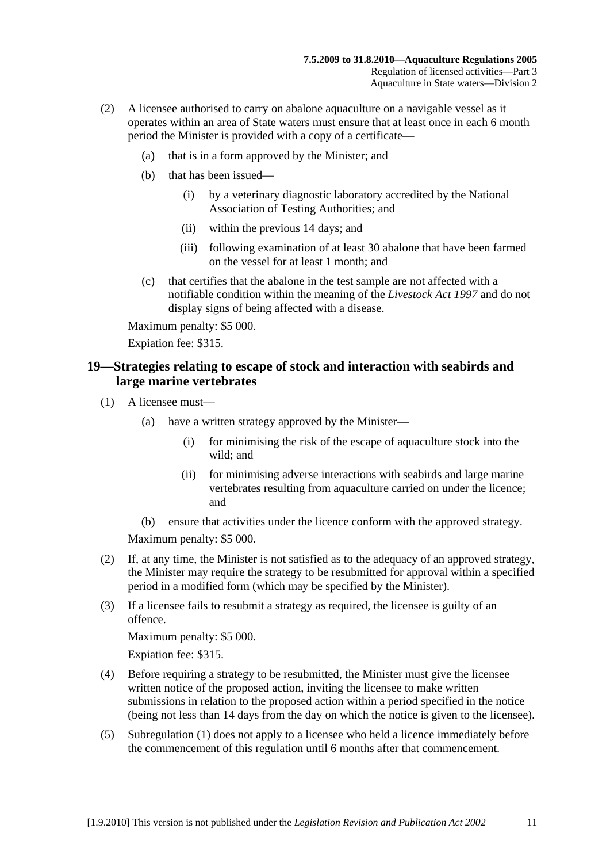- <span id="page-10-0"></span> (2) A licensee authorised to carry on abalone aquaculture on a navigable vessel as it operates within an area of State waters must ensure that at least once in each 6 month period the Minister is provided with a copy of a certificate—
	- (a) that is in a form approved by the Minister; and
	- (b) that has been issued—
		- (i) by a veterinary diagnostic laboratory accredited by the National Association of Testing Authorities; and
		- (ii) within the previous 14 days; and
		- (iii) following examination of at least 30 abalone that have been farmed on the vessel for at least 1 month; and
	- (c) that certifies that the abalone in the test sample are not affected with a notifiable condition within the meaning of the *[Livestock Act 1997](http://www.legislation.sa.gov.au/index.aspx?action=legref&type=act&legtitle=Livestock%20Act%201997)* and do not display signs of being affected with a disease.

Expiation fee: \$315.

## **19—Strategies relating to escape of stock and interaction with seabirds and large marine vertebrates**

- (1) A licensee must—
	- (a) have a written strategy approved by the Minister—
		- (i) for minimising the risk of the escape of aquaculture stock into the wild; and
		- (ii) for minimising adverse interactions with seabirds and large marine vertebrates resulting from aquaculture carried on under the licence; and
	- (b) ensure that activities under the licence conform with the approved strategy.

Maximum penalty: \$5 000.

- (2) If, at any time, the Minister is not satisfied as to the adequacy of an approved strategy, the Minister may require the strategy to be resubmitted for approval within a specified period in a modified form (which may be specified by the Minister).
- (3) If a licensee fails to resubmit a strategy as required, the licensee is guilty of an offence.

Maximum penalty: \$5 000.

- (4) Before requiring a strategy to be resubmitted, the Minister must give the licensee written notice of the proposed action, inviting the licensee to make written submissions in relation to the proposed action within a period specified in the notice (being not less than 14 days from the day on which the notice is given to the licensee).
- (5) [Subregulation \(1\)](#page-10-0) does not apply to a licensee who held a licence immediately before the commencement of this regulation until 6 months after that commencement.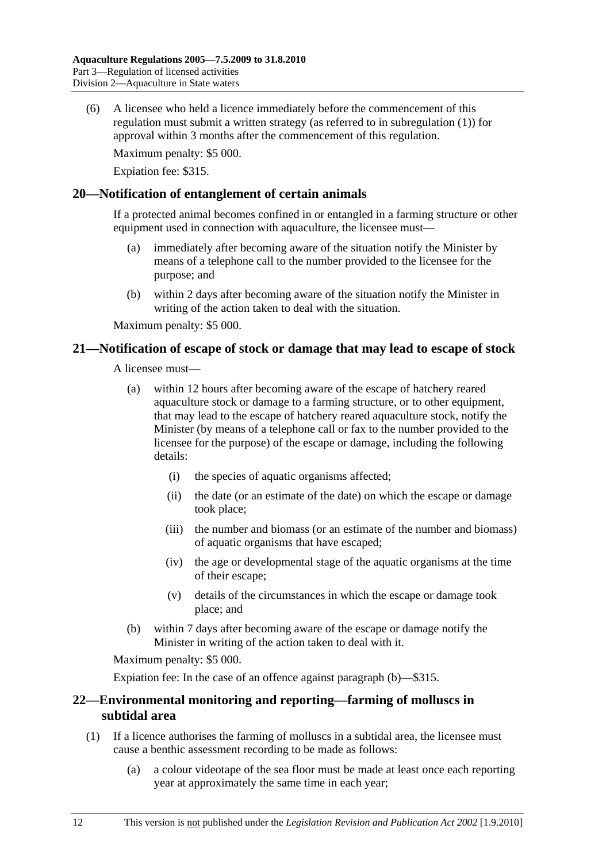<span id="page-11-0"></span> (6) A licensee who held a licence immediately before the commencement of this regulation must submit a written strategy (as referred to in [subregulation \(1\)](#page-10-0)) for approval within 3 months after the commencement of this regulation.

Maximum penalty: \$5 000.

Expiation fee: \$315.

#### **20—Notification of entanglement of certain animals**

If a protected animal becomes confined in or entangled in a farming structure or other equipment used in connection with aquaculture, the licensee must—

- (a) immediately after becoming aware of the situation notify the Minister by means of a telephone call to the number provided to the licensee for the purpose; and
- (b) within 2 days after becoming aware of the situation notify the Minister in writing of the action taken to deal with the situation.

Maximum penalty: \$5 000.

#### **21—Notification of escape of stock or damage that may lead to escape of stock**

A licensee must—

- (a) within 12 hours after becoming aware of the escape of hatchery reared aquaculture stock or damage to a farming structure, or to other equipment, that may lead to the escape of hatchery reared aquaculture stock, notify the Minister (by means of a telephone call or fax to the number provided to the licensee for the purpose) of the escape or damage, including the following details:
	- (i) the species of aquatic organisms affected;
	- (ii) the date (or an estimate of the date) on which the escape or damage took place;
	- (iii) the number and biomass (or an estimate of the number and biomass) of aquatic organisms that have escaped;
	- (iv) the age or developmental stage of the aquatic organisms at the time of their escape;
	- (v) details of the circumstances in which the escape or damage took place; and
- (b) within 7 days after becoming aware of the escape or damage notify the Minister in writing of the action taken to deal with it.

Maximum penalty: \$5 000.

Expiation fee: In the case of an offence against [paragraph \(b\)—](#page-11-0)\$315.

## **22—Environmental monitoring and reporting—farming of molluscs in subtidal area**

- (1) If a licence authorises the farming of molluscs in a subtidal area, the licensee must cause a benthic assessment recording to be made as follows:
	- (a) a colour videotape of the sea floor must be made at least once each reporting year at approximately the same time in each year;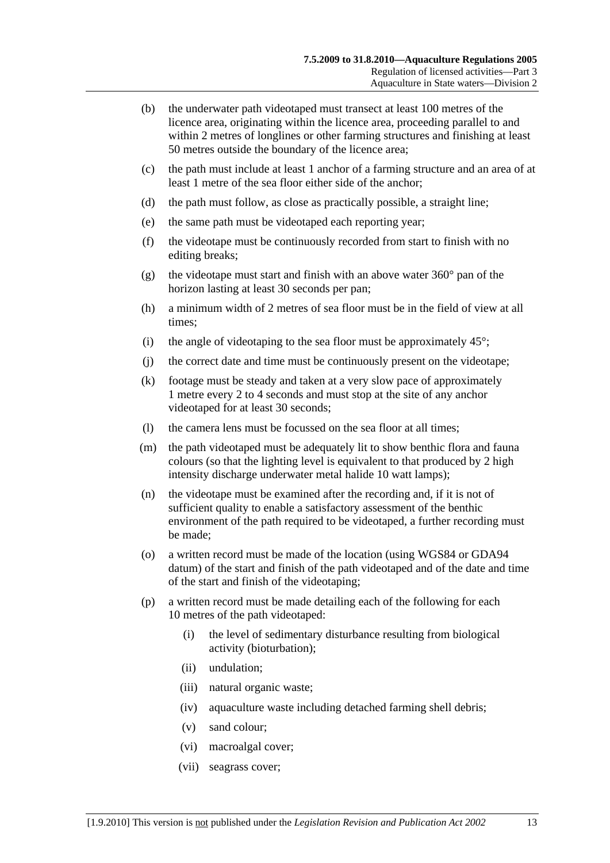- (b) the underwater path videotaped must transect at least 100 metres of the licence area, originating within the licence area, proceeding parallel to and within 2 metres of longlines or other farming structures and finishing at least 50 metres outside the boundary of the licence area;
- (c) the path must include at least 1 anchor of a farming structure and an area of at least 1 metre of the sea floor either side of the anchor;
- (d) the path must follow, as close as practically possible, a straight line;
- (e) the same path must be videotaped each reporting year;
- (f) the videotape must be continuously recorded from start to finish with no editing breaks;
- (g) the videotape must start and finish with an above water  $360^{\circ}$  pan of the horizon lasting at least 30 seconds per pan;
- (h) a minimum width of 2 metres of sea floor must be in the field of view at all times;
- (i) the angle of videotaping to the sea floor must be approximately  $45^{\circ}$ ;
- (j) the correct date and time must be continuously present on the videotape;
- (k) footage must be steady and taken at a very slow pace of approximately 1 metre every 2 to 4 seconds and must stop at the site of any anchor videotaped for at least 30 seconds;
- (l) the camera lens must be focussed on the sea floor at all times;
- (m) the path videotaped must be adequately lit to show benthic flora and fauna colours (so that the lighting level is equivalent to that produced by 2 high intensity discharge underwater metal halide 10 watt lamps);
- (n) the videotape must be examined after the recording and, if it is not of sufficient quality to enable a satisfactory assessment of the benthic environment of the path required to be videotaped, a further recording must be made;
- (o) a written record must be made of the location (using WGS84 or GDA94 datum) of the start and finish of the path videotaped and of the date and time of the start and finish of the videotaping;
- (p) a written record must be made detailing each of the following for each 10 metres of the path videotaped:
	- (i) the level of sedimentary disturbance resulting from biological activity (bioturbation);
	- (ii) undulation;
	- (iii) natural organic waste;
	- (iv) aquaculture waste including detached farming shell debris;
	- (v) sand colour;
	- (vi) macroalgal cover;
	- (vii) seagrass cover;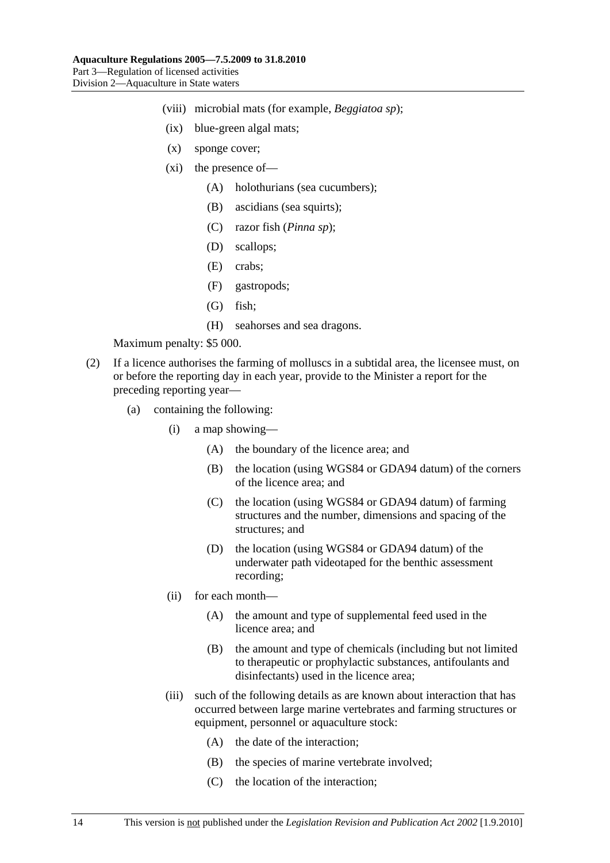- (viii) microbial mats (for example, *Beggiatoa sp*);
- (ix) blue-green algal mats;
- (x) sponge cover;
- (xi) the presence of—
	- (A) holothurians (sea cucumbers);
	- (B) ascidians (sea squirts);
	- (C) razor fish (*Pinna sp*);
	- (D) scallops;
	- (E) crabs;
	- (F) gastropods;
	- (G) fish;
	- (H) seahorses and sea dragons.

- (2) If a licence authorises the farming of molluscs in a subtidal area, the licensee must, on or before the reporting day in each year, provide to the Minister a report for the preceding reporting year—
	- (a) containing the following:
		- (i) a map showing—
			- (A) the boundary of the licence area; and
			- (B) the location (using WGS84 or GDA94 datum) of the corners of the licence area; and
			- (C) the location (using WGS84 or GDA94 datum) of farming structures and the number, dimensions and spacing of the structures; and
			- (D) the location (using WGS84 or GDA94 datum) of the underwater path videotaped for the benthic assessment recording;
		- (ii) for each month—
			- (A) the amount and type of supplemental feed used in the licence area; and
			- (B) the amount and type of chemicals (including but not limited to therapeutic or prophylactic substances, antifoulants and disinfectants) used in the licence area;
		- (iii) such of the following details as are known about interaction that has occurred between large marine vertebrates and farming structures or equipment, personnel or aquaculture stock:
			- (A) the date of the interaction;
			- (B) the species of marine vertebrate involved;
			- (C) the location of the interaction;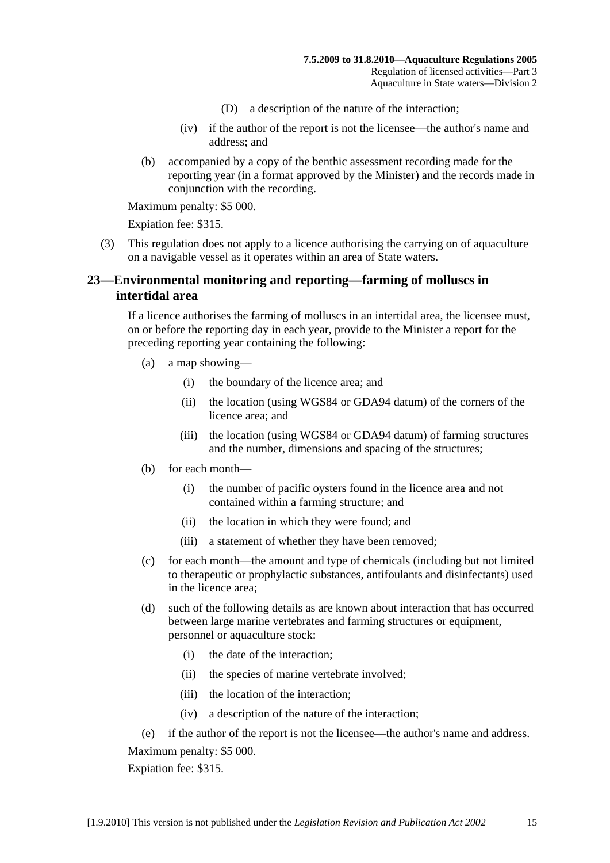- (D) a description of the nature of the interaction;
- (iv) if the author of the report is not the licensee—the author's name and address; and
- <span id="page-14-0"></span> (b) accompanied by a copy of the benthic assessment recording made for the reporting year (in a format approved by the Minister) and the records made in conjunction with the recording.

Expiation fee: \$315.

 (3) This regulation does not apply to a licence authorising the carrying on of aquaculture on a navigable vessel as it operates within an area of State waters.

## **23—Environmental monitoring and reporting—farming of molluscs in intertidal area**

If a licence authorises the farming of molluscs in an intertidal area, the licensee must, on or before the reporting day in each year, provide to the Minister a report for the preceding reporting year containing the following:

- (a) a map showing—
	- (i) the boundary of the licence area; and
	- (ii) the location (using WGS84 or GDA94 datum) of the corners of the licence area; and
	- (iii) the location (using WGS84 or GDA94 datum) of farming structures and the number, dimensions and spacing of the structures;
- (b) for each month—
	- (i) the number of pacific oysters found in the licence area and not contained within a farming structure; and
	- (ii) the location in which they were found; and
	- (iii) a statement of whether they have been removed;
- (c) for each month—the amount and type of chemicals (including but not limited to therapeutic or prophylactic substances, antifoulants and disinfectants) used in the licence area;
- (d) such of the following details as are known about interaction that has occurred between large marine vertebrates and farming structures or equipment, personnel or aquaculture stock:
	- (i) the date of the interaction;
	- (ii) the species of marine vertebrate involved;
	- (iii) the location of the interaction;
	- (iv) a description of the nature of the interaction;
- (e) if the author of the report is not the licensee—the author's name and address. Maximum penalty: \$5 000.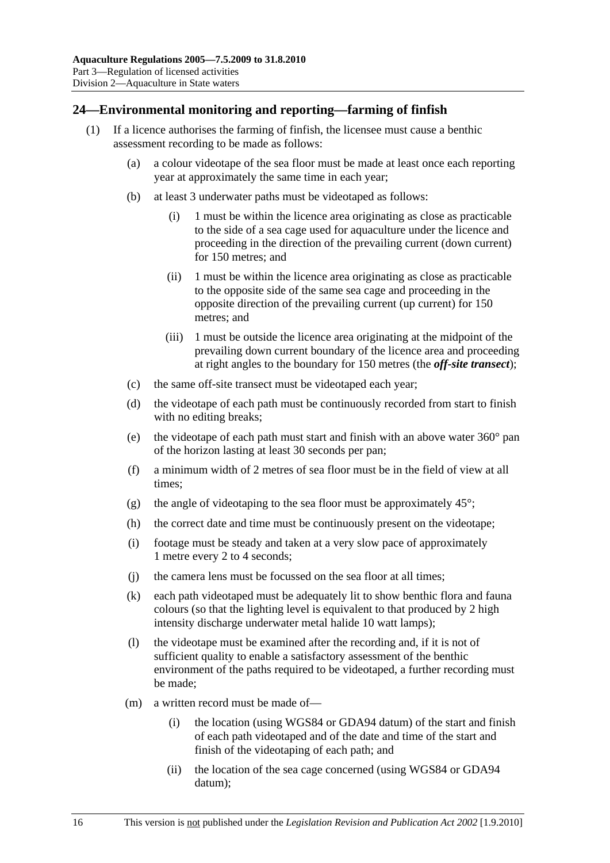## <span id="page-15-0"></span>**24—Environmental monitoring and reporting—farming of finfish**

- (1) If a licence authorises the farming of finfish, the licensee must cause a benthic assessment recording to be made as follows:
	- (a) a colour videotape of the sea floor must be made at least once each reporting year at approximately the same time in each year;
	- (b) at least 3 underwater paths must be videotaped as follows:
		- (i) 1 must be within the licence area originating as close as practicable to the side of a sea cage used for aquaculture under the licence and proceeding in the direction of the prevailing current (down current) for 150 metres; and
		- (ii) 1 must be within the licence area originating as close as practicable to the opposite side of the same sea cage and proceeding in the opposite direction of the prevailing current (up current) for 150 metres; and
		- (iii) 1 must be outside the licence area originating at the midpoint of the prevailing down current boundary of the licence area and proceeding at right angles to the boundary for 150 metres (the *off-site transect*);
	- (c) the same off-site transect must be videotaped each year;
	- (d) the videotape of each path must be continuously recorded from start to finish with no editing breaks;
	- (e) the videotape of each path must start and finish with an above water 360° pan of the horizon lasting at least 30 seconds per pan;
	- (f) a minimum width of 2 metres of sea floor must be in the field of view at all times;
	- (g) the angle of videotaping to the sea floor must be approximately  $45^{\circ}$ ;
	- (h) the correct date and time must be continuously present on the videotape;
	- (i) footage must be steady and taken at a very slow pace of approximately 1 metre every 2 to 4 seconds;
	- (j) the camera lens must be focussed on the sea floor at all times;
	- (k) each path videotaped must be adequately lit to show benthic flora and fauna colours (so that the lighting level is equivalent to that produced by 2 high intensity discharge underwater metal halide 10 watt lamps);
	- (l) the videotape must be examined after the recording and, if it is not of sufficient quality to enable a satisfactory assessment of the benthic environment of the paths required to be videotaped, a further recording must be made;
	- (m) a written record must be made of—
		- (i) the location (using WGS84 or GDA94 datum) of the start and finish of each path videotaped and of the date and time of the start and finish of the videotaping of each path; and
		- (ii) the location of the sea cage concerned (using WGS84 or GDA94 datum);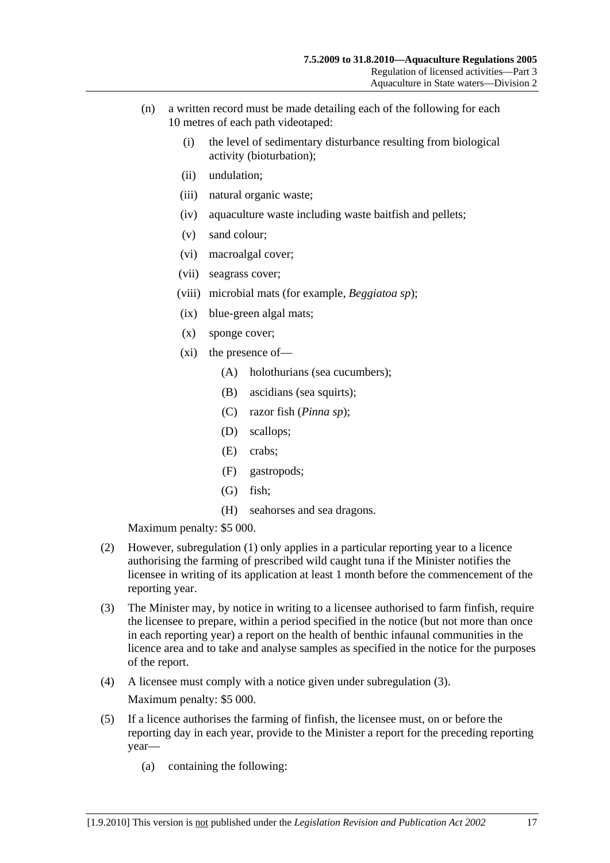- <span id="page-16-0"></span> (n) a written record must be made detailing each of the following for each 10 metres of each path videotaped:
	- (i) the level of sedimentary disturbance resulting from biological activity (bioturbation);
	- (ii) undulation;
	- (iii) natural organic waste;
	- (iv) aquaculture waste including waste baitfish and pellets;
	- (v) sand colour;
	- (vi) macroalgal cover;
	- (vii) seagrass cover;
	- (viii) microbial mats (for example, *Beggiatoa sp*);
	- (ix) blue-green algal mats;
	- (x) sponge cover;
	- (xi) the presence of—
		- (A) holothurians (sea cucumbers);
		- (B) ascidians (sea squirts);
		- (C) razor fish (*Pinna sp*);
		- (D) scallops;
		- (E) crabs;
		- (F) gastropods;
		- (G) fish;
		- (H) seahorses and sea dragons.

- (2) However, [subregulation \(1\)](#page-15-0) only applies in a particular reporting year to a licence authorising the farming of prescribed wild caught tuna if the Minister notifies the licensee in writing of its application at least 1 month before the commencement of the reporting year.
- (3) The Minister may, by notice in writing to a licensee authorised to farm finfish, require the licensee to prepare, within a period specified in the notice (but not more than once in each reporting year) a report on the health of benthic infaunal communities in the licence area and to take and analyse samples as specified in the notice for the purposes of the report.
- (4) A licensee must comply with a notice given under [subregulation \(3\)](#page-16-0). Maximum penalty: \$5 000.
- (5) If a licence authorises the farming of finfish, the licensee must, on or before the reporting day in each year, provide to the Minister a report for the preceding reporting year—
	- (a) containing the following: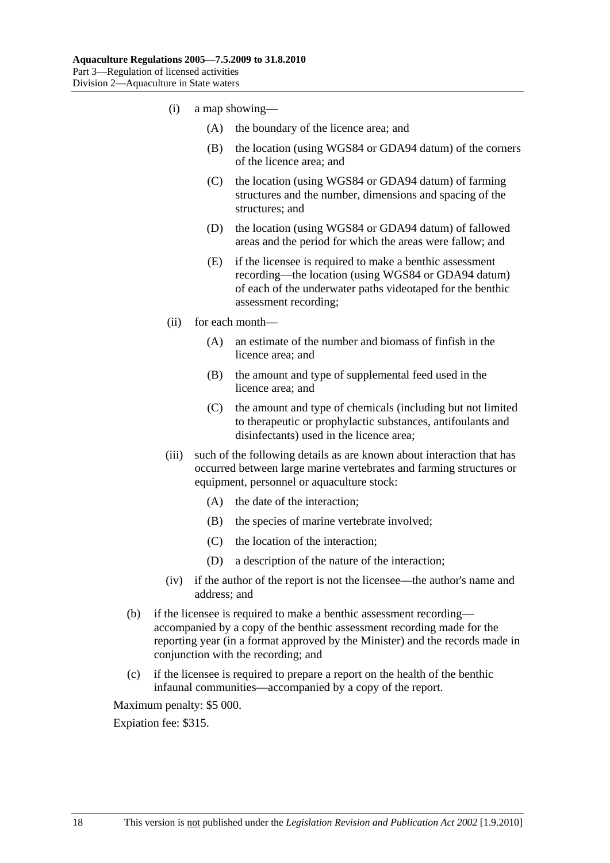- (i) a map showing—
	- (A) the boundary of the licence area; and
	- (B) the location (using WGS84 or GDA94 datum) of the corners of the licence area; and
	- (C) the location (using WGS84 or GDA94 datum) of farming structures and the number, dimensions and spacing of the structures; and
	- (D) the location (using WGS84 or GDA94 datum) of fallowed areas and the period for which the areas were fallow; and
	- (E) if the licensee is required to make a benthic assessment recording—the location (using WGS84 or GDA94 datum) of each of the underwater paths videotaped for the benthic assessment recording;
- (ii) for each month—
	- (A) an estimate of the number and biomass of finfish in the licence area; and
	- (B) the amount and type of supplemental feed used in the licence area; and
	- (C) the amount and type of chemicals (including but not limited to therapeutic or prophylactic substances, antifoulants and disinfectants) used in the licence area;
- (iii) such of the following details as are known about interaction that has occurred between large marine vertebrates and farming structures or equipment, personnel or aquaculture stock:
	- (A) the date of the interaction;
	- (B) the species of marine vertebrate involved;
	- (C) the location of the interaction;
	- (D) a description of the nature of the interaction;
- (iv) if the author of the report is not the licensee—the author's name and address; and
- (b) if the licensee is required to make a benthic assessment recording accompanied by a copy of the benthic assessment recording made for the reporting year (in a format approved by the Minister) and the records made in conjunction with the recording; and
- (c) if the licensee is required to prepare a report on the health of the benthic infaunal communities—accompanied by a copy of the report.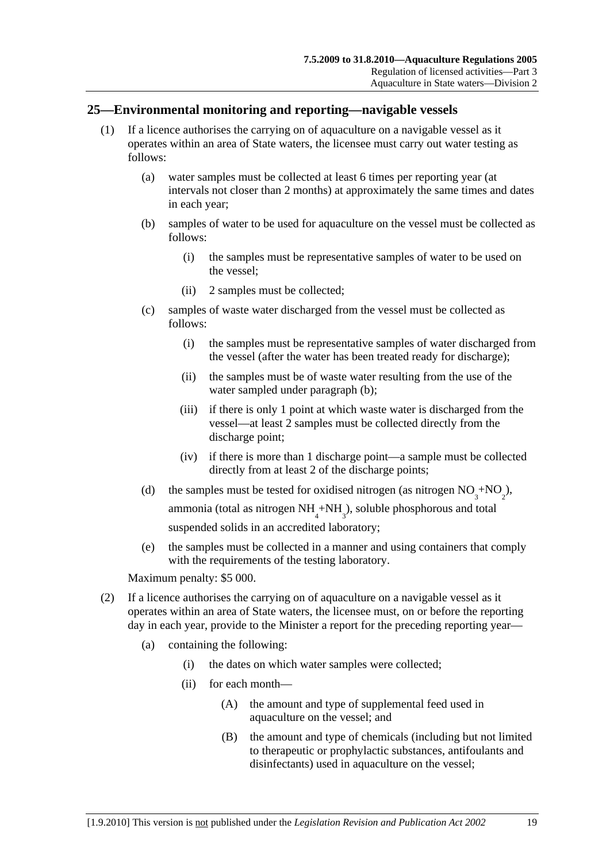### <span id="page-18-0"></span>**25—Environmental monitoring and reporting—navigable vessels**

- (1) If a licence authorises the carrying on of aquaculture on a navigable vessel as it operates within an area of State waters, the licensee must carry out water testing as follows:
	- (a) water samples must be collected at least 6 times per reporting year (at intervals not closer than 2 months) at approximately the same times and dates in each year;
	- (b) samples of water to be used for aquaculture on the vessel must be collected as follows:
		- (i) the samples must be representative samples of water to be used on the vessel;
		- (ii) 2 samples must be collected;
	- (c) samples of waste water discharged from the vessel must be collected as follows:
		- (i) the samples must be representative samples of water discharged from the vessel (after the water has been treated ready for discharge);
		- (ii) the samples must be of waste water resulting from the use of the water sampled under [paragraph \(b\)](#page-18-0);
		- (iii) if there is only 1 point at which waste water is discharged from the vessel—at least 2 samples must be collected directly from the discharge point;
		- (iv) if there is more than 1 discharge point—a sample must be collected directly from at least 2 of the discharge points;
	- (d) the samples must be tested for oxidised nitrogen (as nitrogen  $NO_3^+ NO_2^-,$ ammonia (total as nitrogen  $NH_4^+NH_3^$ ), soluble phosphorous and total suspended solids in an accredited laboratory;
		- (e) the samples must be collected in a manner and using containers that comply with the requirements of the testing laboratory.

Maximum penalty: \$5 000.

- (2) If a licence authorises the carrying on of aquaculture on a navigable vessel as it operates within an area of State waters, the licensee must, on or before the reporting day in each year, provide to the Minister a report for the preceding reporting year—
	- (a) containing the following:
		- (i) the dates on which water samples were collected;
		- (ii) for each month—
			- (A) the amount and type of supplemental feed used in aquaculture on the vessel; and
			- (B) the amount and type of chemicals (including but not limited to therapeutic or prophylactic substances, antifoulants and disinfectants) used in aquaculture on the vessel;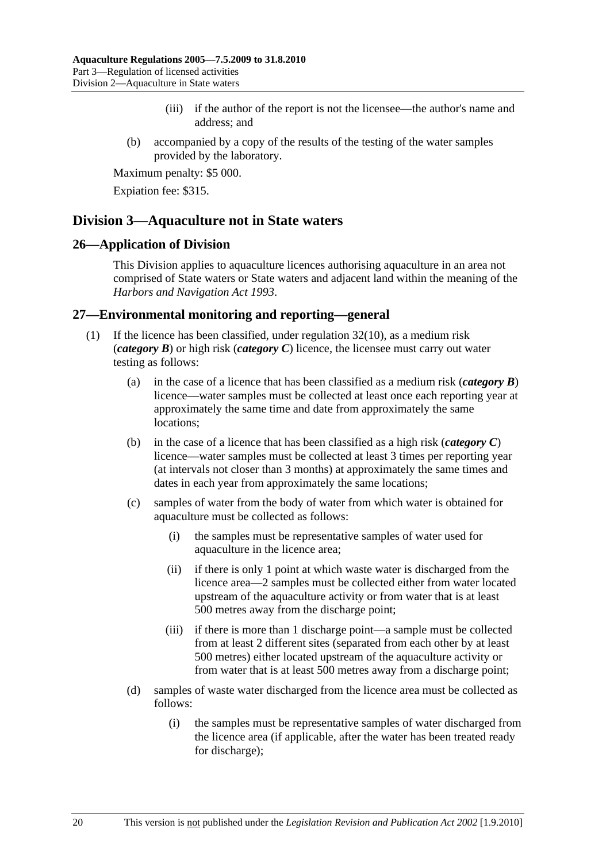- (iii) if the author of the report is not the licensee—the author's name and address; and
- <span id="page-19-0"></span> (b) accompanied by a copy of the results of the testing of the water samples provided by the laboratory.

Expiation fee: \$315.

## **Division 3—Aquaculture not in State waters**

#### **26—Application of Division**

This Division applies to aquaculture licences authorising aquaculture in an area not comprised of State waters or State waters and adjacent land within the meaning of the *[Harbors and Navigation Act 1993](http://www.legislation.sa.gov.au/index.aspx?action=legref&type=act&legtitle=Harbors%20and%20Navigation%20Act%201993)*.

#### **27—Environmental monitoring and reporting—general**

- (1) If the licence has been classified, under [regulation 32\(10\),](#page-26-0) as a medium risk (*category B*) or high risk (*category C*) licence, the licensee must carry out water testing as follows:
	- (a) in the case of a licence that has been classified as a medium risk (*category B*) licence—water samples must be collected at least once each reporting year at approximately the same time and date from approximately the same locations;
	- (b) in the case of a licence that has been classified as a high risk (*category C*) licence—water samples must be collected at least 3 times per reporting year (at intervals not closer than 3 months) at approximately the same times and dates in each year from approximately the same locations;
	- (c) samples of water from the body of water from which water is obtained for aquaculture must be collected as follows:
		- (i) the samples must be representative samples of water used for aquaculture in the licence area;
		- (ii) if there is only 1 point at which waste water is discharged from the licence area—2 samples must be collected either from water located upstream of the aquaculture activity or from water that is at least 500 metres away from the discharge point;
		- (iii) if there is more than 1 discharge point—a sample must be collected from at least 2 different sites (separated from each other by at least 500 metres) either located upstream of the aquaculture activity or from water that is at least 500 metres away from a discharge point;
	- (d) samples of waste water discharged from the licence area must be collected as follows:
		- (i) the samples must be representative samples of water discharged from the licence area (if applicable, after the water has been treated ready for discharge);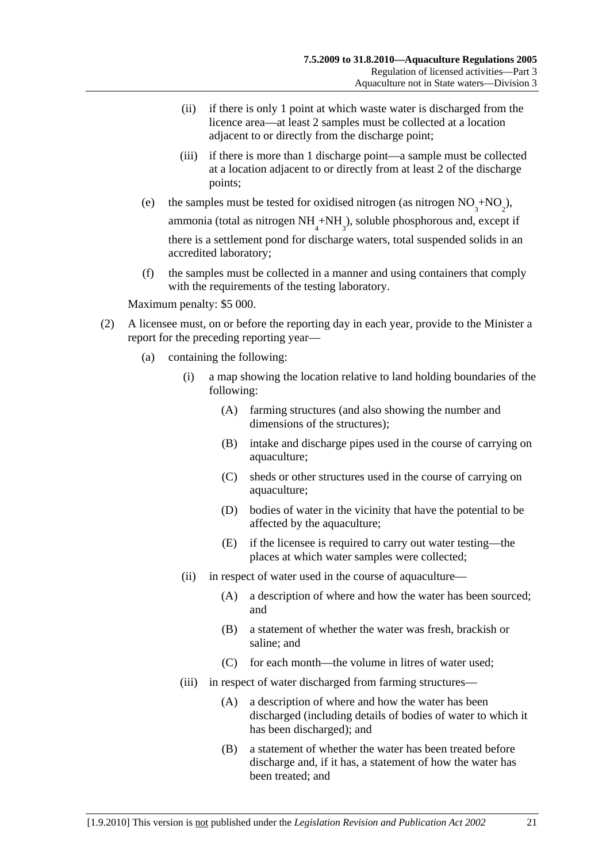- (ii) if there is only 1 point at which waste water is discharged from the licence area—at least 2 samples must be collected at a location adjacent to or directly from the discharge point;
- (iii) if there is more than 1 discharge point—a sample must be collected at a location adjacent to or directly from at least 2 of the discharge points;
- (e) the samples must be tested for oxidised nitrogen (as nitrogen  $NO_3^+ NO_2^-,$ ammonia (total as nitrogen  $NH_4^+NH_3^$ ), soluble phosphorous and, except if there is a settlement pond for discharge waters, total suspended solids in an accredited laboratory;
	- (f) the samples must be collected in a manner and using containers that comply with the requirements of the testing laboratory.

- (2) A licensee must, on or before the reporting day in each year, provide to the Minister a report for the preceding reporting year—
	- (a) containing the following:
		- (i) a map showing the location relative to land holding boundaries of the following:
			- (A) farming structures (and also showing the number and dimensions of the structures);
			- (B) intake and discharge pipes used in the course of carrying on aquaculture;
			- (C) sheds or other structures used in the course of carrying on aquaculture;
			- (D) bodies of water in the vicinity that have the potential to be affected by the aquaculture;
			- (E) if the licensee is required to carry out water testing—the places at which water samples were collected;
		- (ii) in respect of water used in the course of aquaculture—
			- (A) a description of where and how the water has been sourced; and
			- (B) a statement of whether the water was fresh, brackish or saline; and
			- (C) for each month—the volume in litres of water used;
		- (iii) in respect of water discharged from farming structures—
			- (A) a description of where and how the water has been discharged (including details of bodies of water to which it has been discharged); and
			- (B) a statement of whether the water has been treated before discharge and, if it has, a statement of how the water has been treated; and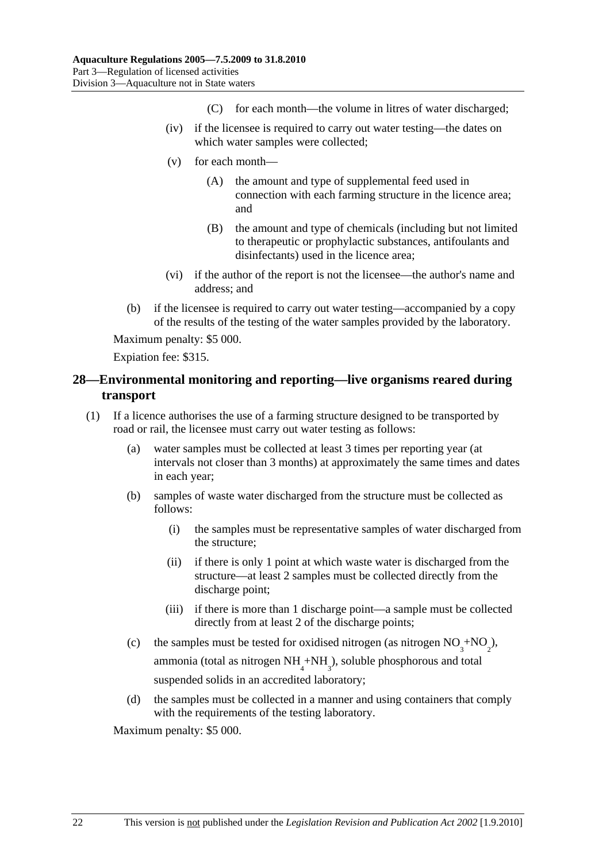- (C) for each month—the volume in litres of water discharged;
- <span id="page-21-0"></span> (iv) if the licensee is required to carry out water testing—the dates on which water samples were collected;
- (v) for each month—
	- (A) the amount and type of supplemental feed used in connection with each farming structure in the licence area; and
	- (B) the amount and type of chemicals (including but not limited to therapeutic or prophylactic substances, antifoulants and disinfectants) used in the licence area;
- (vi) if the author of the report is not the licensee—the author's name and address; and
- (b) if the licensee is required to carry out water testing—accompanied by a copy of the results of the testing of the water samples provided by the laboratory.

Expiation fee: \$315.

## **28—Environmental monitoring and reporting—live organisms reared during transport**

- (1) If a licence authorises the use of a farming structure designed to be transported by road or rail, the licensee must carry out water testing as follows:
	- (a) water samples must be collected at least 3 times per reporting year (at intervals not closer than 3 months) at approximately the same times and dates in each year;
	- (b) samples of waste water discharged from the structure must be collected as follows:
		- (i) the samples must be representative samples of water discharged from the structure;
		- (ii) if there is only 1 point at which waste water is discharged from the structure—at least 2 samples must be collected directly from the discharge point;
		- (iii) if there is more than 1 discharge point—a sample must be collected directly from at least 2 of the discharge points;
	- (c) the samples must be tested for oxidised nitrogen (as nitrogen  $NO_3^{\text{+}}NO_2^{\text{-}}$ ),

ammonia (total as nitrogen  $NH_4+NH_3$ ), soluble phosphorous and total suspended solids in an accredited laboratory;

 (d) the samples must be collected in a manner and using containers that comply with the requirements of the testing laboratory.

Maximum penalty: \$5 000.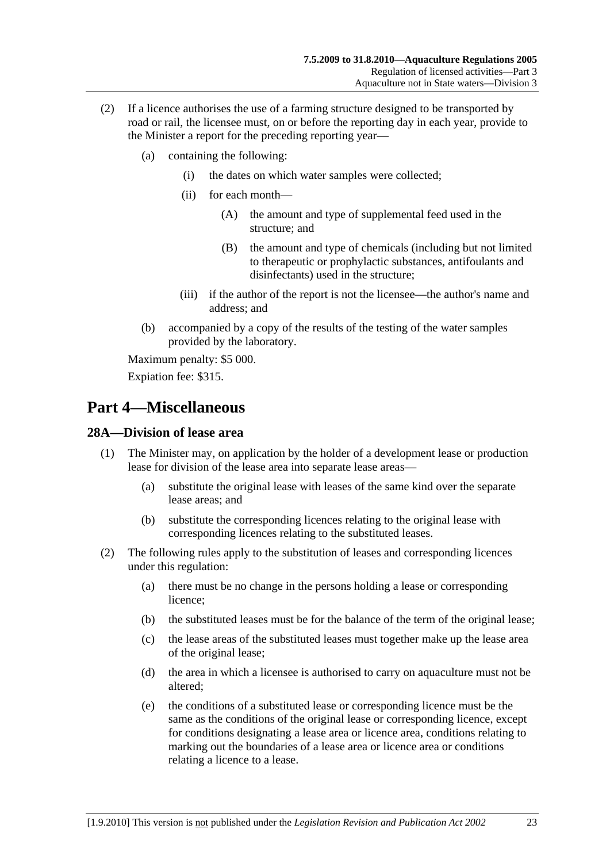- <span id="page-22-0"></span> (2) If a licence authorises the use of a farming structure designed to be transported by road or rail, the licensee must, on or before the reporting day in each year, provide to the Minister a report for the preceding reporting year—
	- (a) containing the following:
		- (i) the dates on which water samples were collected;
		- (ii) for each month—
			- (A) the amount and type of supplemental feed used in the structure; and
			- (B) the amount and type of chemicals (including but not limited to therapeutic or prophylactic substances, antifoulants and disinfectants) used in the structure;
		- (iii) if the author of the report is not the licensee—the author's name and address; and
	- (b) accompanied by a copy of the results of the testing of the water samples provided by the laboratory.

Expiation fee: \$315.

# **Part 4—Miscellaneous**

## **28A—Division of lease area**

- (1) The Minister may, on application by the holder of a development lease or production lease for division of the lease area into separate lease areas—
	- (a) substitute the original lease with leases of the same kind over the separate lease areas; and
	- (b) substitute the corresponding licences relating to the original lease with corresponding licences relating to the substituted leases.
- (2) The following rules apply to the substitution of leases and corresponding licences under this regulation:
	- (a) there must be no change in the persons holding a lease or corresponding licence;
	- (b) the substituted leases must be for the balance of the term of the original lease;
	- (c) the lease areas of the substituted leases must together make up the lease area of the original lease;
	- (d) the area in which a licensee is authorised to carry on aquaculture must not be altered;
	- (e) the conditions of a substituted lease or corresponding licence must be the same as the conditions of the original lease or corresponding licence, except for conditions designating a lease area or licence area, conditions relating to marking out the boundaries of a lease area or licence area or conditions relating a licence to a lease.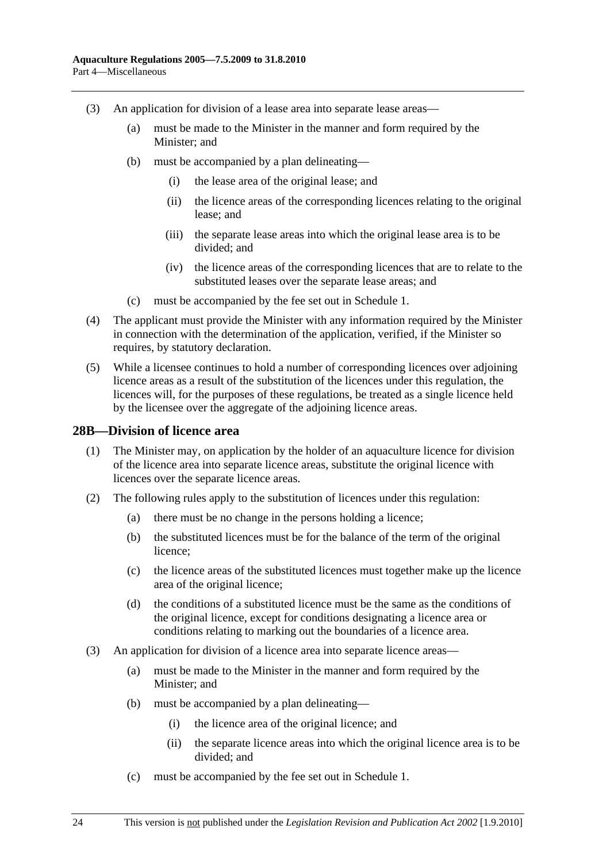- <span id="page-23-0"></span> (3) An application for division of a lease area into separate lease areas—
	- (a) must be made to the Minister in the manner and form required by the Minister; and
	- (b) must be accompanied by a plan delineating—
		- (i) the lease area of the original lease; and
		- (ii) the licence areas of the corresponding licences relating to the original lease; and
		- (iii) the separate lease areas into which the original lease area is to be divided; and
		- (iv) the licence areas of the corresponding licences that are to relate to the substituted leases over the separate lease areas; and
	- (c) must be accompanied by the fee set out in [Schedule 1.](#page-0-0)
- (4) The applicant must provide the Minister with any information required by the Minister in connection with the determination of the application, verified, if the Minister so requires, by statutory declaration.
- (5) While a licensee continues to hold a number of corresponding licences over adjoining licence areas as a result of the substitution of the licences under this regulation, the licences will, for the purposes of these regulations, be treated as a single licence held by the licensee over the aggregate of the adjoining licence areas.

#### **28B—Division of licence area**

- (1) The Minister may, on application by the holder of an aquaculture licence for division of the licence area into separate licence areas, substitute the original licence with licences over the separate licence areas.
- (2) The following rules apply to the substitution of licences under this regulation:
	- (a) there must be no change in the persons holding a licence;
	- (b) the substituted licences must be for the balance of the term of the original licence;
	- (c) the licence areas of the substituted licences must together make up the licence area of the original licence;
	- (d) the conditions of a substituted licence must be the same as the conditions of the original licence, except for conditions designating a licence area or conditions relating to marking out the boundaries of a licence area.
- (3) An application for division of a licence area into separate licence areas—
	- (a) must be made to the Minister in the manner and form required by the Minister; and
	- (b) must be accompanied by a plan delineating—
		- (i) the licence area of the original licence; and
		- (ii) the separate licence areas into which the original licence area is to be divided; and
	- (c) must be accompanied by the fee set out in [Schedule 1.](#page-0-0)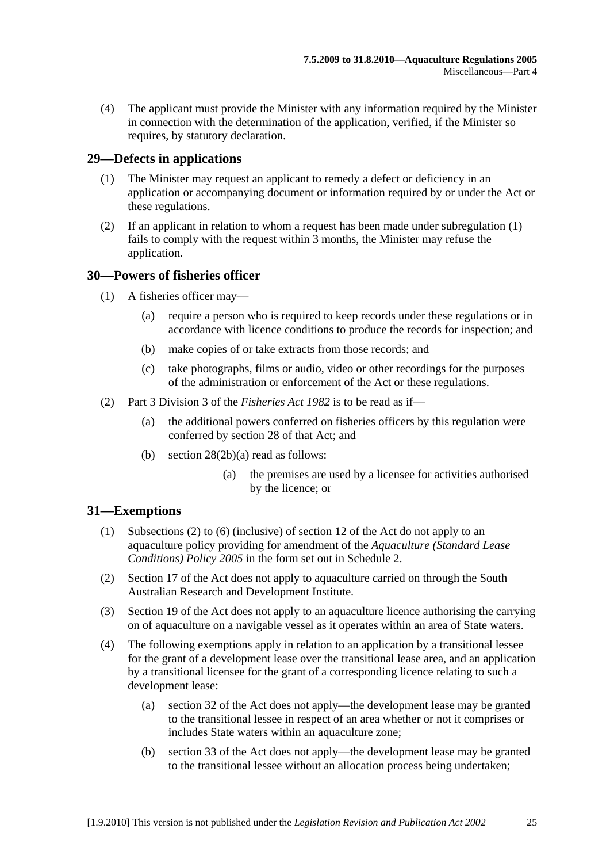<span id="page-24-0"></span> (4) The applicant must provide the Minister with any information required by the Minister in connection with the determination of the application, verified, if the Minister so requires, by statutory declaration.

### **29—Defects in applications**

- (1) The Minister may request an applicant to remedy a defect or deficiency in an application or accompanying document or information required by or under the Act or these regulations.
- (2) If an applicant in relation to whom a request has been made under [subregulation \(1\)](#page-24-0)  fails to comply with the request within 3 months, the Minister may refuse the application.

#### **30—Powers of fisheries officer**

- (1) A fisheries officer may—
	- (a) require a person who is required to keep records under these regulations or in accordance with licence conditions to produce the records for inspection; and
	- (b) make copies of or take extracts from those records; and
	- (c) take photographs, films or audio, video or other recordings for the purposes of the administration or enforcement of the Act or these regulations.
- (2) Part 3 Division 3 of the *[Fisheries Act 1982](http://www.legislation.sa.gov.au/index.aspx?action=legref&type=act&legtitle=Fisheries%20Act%201982)* is to be read as if—
	- (a) the additional powers conferred on fisheries officers by this regulation were conferred by section 28 of that Act; and
	- (b) section 28(2b)(a) read as follows:
		- (a) the premises are used by a licensee for activities authorised by the licence; or

#### **31—Exemptions**

- (1) Subsections (2) to (6) (inclusive) of section 12 of the Act do not apply to an aquaculture policy providing for amendment of the *[Aquaculture \(Standard Lease](http://www.legislation.sa.gov.au/index.aspx?action=legref&type=subordleg&legtitle=Aquaculture%20(Standard%20Lease%20Conditions)%20Policy%202005)  [Conditions\) Policy 2005](http://www.legislation.sa.gov.au/index.aspx?action=legref&type=subordleg&legtitle=Aquaculture%20(Standard%20Lease%20Conditions)%20Policy%202005)* in the form set out in [Schedule 2.](#page-0-0)
- (2) Section 17 of the Act does not apply to aquaculture carried on through the South Australian Research and Development Institute.
- (3) Section 19 of the Act does not apply to an aquaculture licence authorising the carrying on of aquaculture on a navigable vessel as it operates within an area of State waters.
- (4) The following exemptions apply in relation to an application by a transitional lessee for the grant of a development lease over the transitional lease area, and an application by a transitional licensee for the grant of a corresponding licence relating to such a development lease:
	- (a) section 32 of the Act does not apply—the development lease may be granted to the transitional lessee in respect of an area whether or not it comprises or includes State waters within an aquaculture zone;
	- (b) section 33 of the Act does not apply—the development lease may be granted to the transitional lessee without an allocation process being undertaken;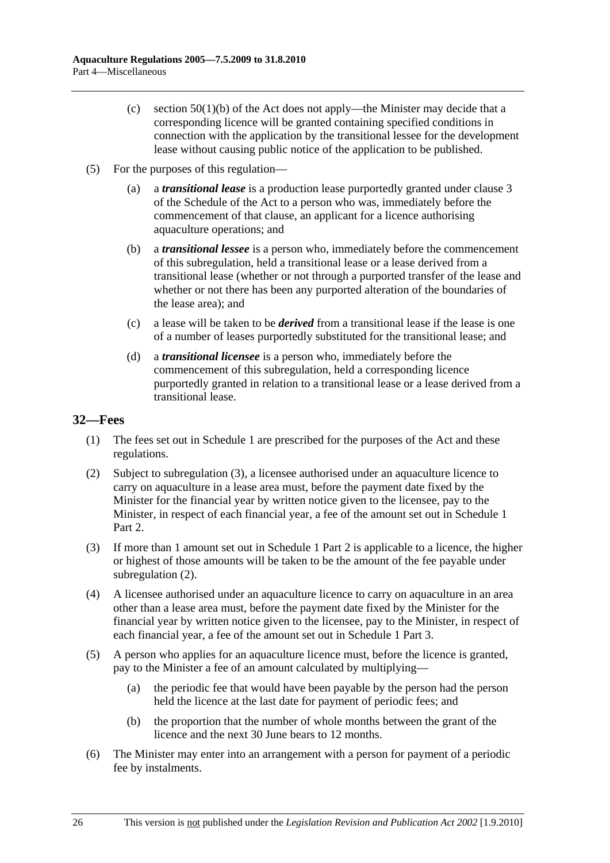- <span id="page-25-0"></span>(c) section  $50(1)(b)$  of the Act does not apply—the Minister may decide that a corresponding licence will be granted containing specified conditions in connection with the application by the transitional lessee for the development lease without causing public notice of the application to be published.
- (5) For the purposes of this regulation—
	- (a) a *transitional lease* is a production lease purportedly granted under clause 3 of the Schedule of the Act to a person who was, immediately before the commencement of that clause, an applicant for a licence authorising aquaculture operations; and
	- (b) a *transitional lessee* is a person who, immediately before the commencement of this subregulation, held a transitional lease or a lease derived from a transitional lease (whether or not through a purported transfer of the lease and whether or not there has been any purported alteration of the boundaries of the lease area); and
	- (c) a lease will be taken to be *derived* from a transitional lease if the lease is one of a number of leases purportedly substituted for the transitional lease; and
	- (d) a *transitional licensee* is a person who, immediately before the commencement of this subregulation, held a corresponding licence purportedly granted in relation to a transitional lease or a lease derived from a transitional lease.

## **32—Fees**

- (1) The fees set out in [Schedule 1](#page-0-0) are prescribed for the purposes of the Act and these regulations.
- (2) Subject to [subregulation \(3\),](#page-0-0) a licensee authorised under an aquaculture licence to carry on aquaculture in a lease area must, before the payment date fixed by the Minister for the financial year by written notice given to the licensee, pay to the Minister, in respect of each financial year, a fee of the amount set out in [Schedule 1](#page-0-0) Part 2.
- (3) If more than 1 amount set out in [Schedule 1](#page-27-0) Part 2 is applicable to a licence, the higher or highest of those amounts will be taken to be the amount of the fee payable under subregulation  $(2)$ .
- (4) A licensee authorised under an aquaculture licence to carry on aquaculture in an area other than a lease area must, before the payment date fixed by the Minister for the financial year by written notice given to the licensee, pay to the Minister, in respect of each financial year, a fee of the amount set out in [Schedule 1](#page-0-0) Part 3.
- (5) A person who applies for an aquaculture licence must, before the licence is granted, pay to the Minister a fee of an amount calculated by multiplying—
	- (a) the periodic fee that would have been payable by the person had the person held the licence at the last date for payment of periodic fees; and
	- (b) the proportion that the number of whole months between the grant of the licence and the next 30 June bears to 12 months.
- (6) The Minister may enter into an arrangement with a person for payment of a periodic fee by instalments.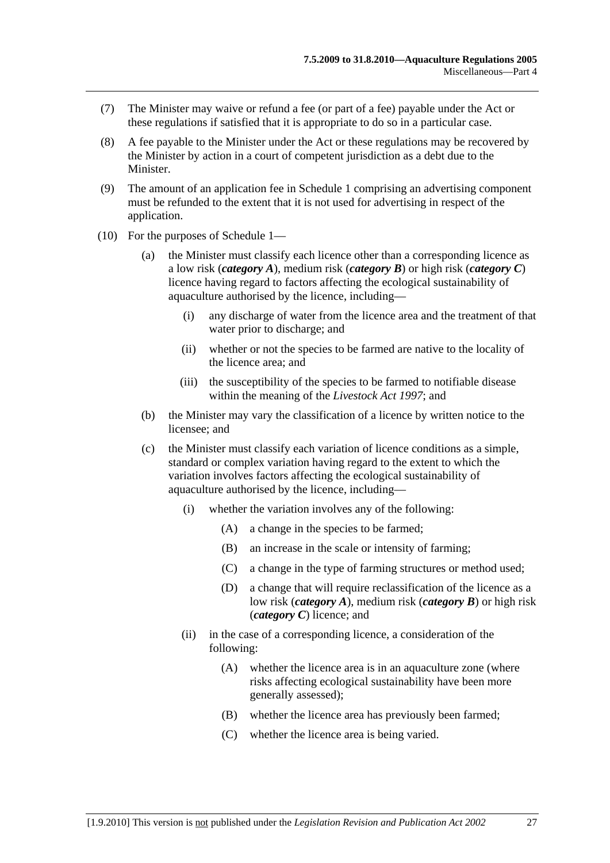- <span id="page-26-0"></span> (7) The Minister may waive or refund a fee (or part of a fee) payable under the Act or these regulations if satisfied that it is appropriate to do so in a particular case.
- (8) A fee payable to the Minister under the Act or these regulations may be recovered by the Minister by action in a court of competent jurisdiction as a debt due to the Minister.
- (9) The amount of an application fee in [Schedule 1](#page-27-0) comprising an advertising component must be refunded to the extent that it is not used for advertising in respect of the application.
- (10) For the purposes of [Schedule 1—](#page-27-0)
	- (a) the Minister must classify each licence other than a corresponding licence as a low risk (*category A*), medium risk (*category B*) or high risk (*category C*) licence having regard to factors affecting the ecological sustainability of aquaculture authorised by the licence, including—
		- (i) any discharge of water from the licence area and the treatment of that water prior to discharge; and
		- (ii) whether or not the species to be farmed are native to the locality of the licence area; and
		- (iii) the susceptibility of the species to be farmed to notifiable disease within the meaning of the *[Livestock Act 1997](http://www.legislation.sa.gov.au/index.aspx?action=legref&type=act&legtitle=Livestock%20Act%201997)*; and
	- (b) the Minister may vary the classification of a licence by written notice to the licensee; and
	- (c) the Minister must classify each variation of licence conditions as a simple, standard or complex variation having regard to the extent to which the variation involves factors affecting the ecological sustainability of aquaculture authorised by the licence, including—
		- (i) whether the variation involves any of the following:
			- (A) a change in the species to be farmed;
			- (B) an increase in the scale or intensity of farming;
			- (C) a change in the type of farming structures or method used;
			- (D) a change that will require reclassification of the licence as a low risk (*category A*), medium risk (*category B*) or high risk (*category C*) licence; and
		- (ii) in the case of a corresponding licence, a consideration of the following:
			- (A) whether the licence area is in an aquaculture zone (where risks affecting ecological sustainability have been more generally assessed);
			- (B) whether the licence area has previously been farmed;
			- (C) whether the licence area is being varied.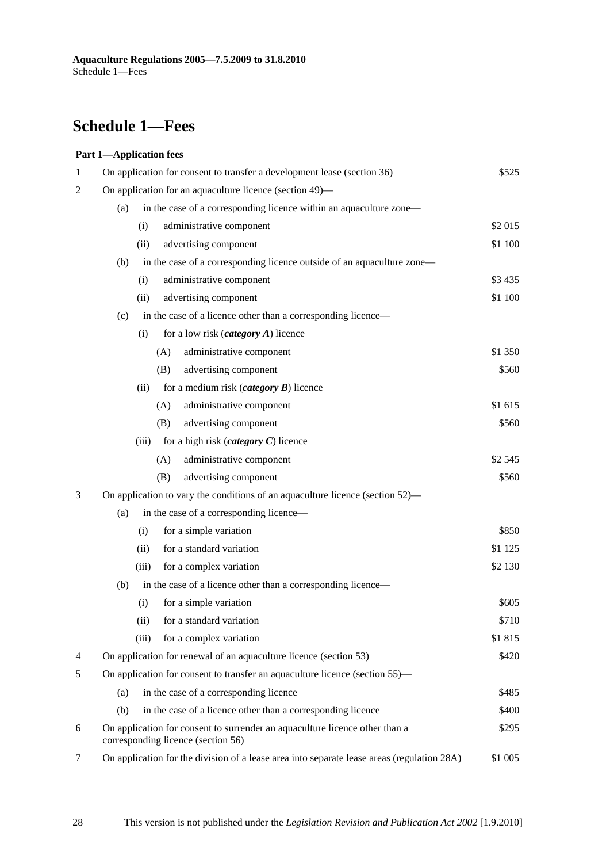# <span id="page-27-0"></span>**Schedule 1—Fees**

#### **Part 1—Application fees**

| 1              | On application for consent to transfer a development lease (section 36)<br>\$525                                  |          |  |  |  |
|----------------|-------------------------------------------------------------------------------------------------------------------|----------|--|--|--|
| 2              | On application for an aquaculture licence (section 49)—                                                           |          |  |  |  |
|                | in the case of a corresponding licence within an aquaculture zone—<br>(a)                                         |          |  |  |  |
|                | administrative component<br>(i)                                                                                   | \$2015   |  |  |  |
|                | advertising component<br>(ii)                                                                                     | \$1 100  |  |  |  |
|                | in the case of a corresponding licence outside of an aquaculture zone-<br>(b)                                     |          |  |  |  |
|                | (i)<br>administrative component                                                                                   | \$3 4 35 |  |  |  |
|                | advertising component<br>(ii)                                                                                     | \$1 100  |  |  |  |
|                | in the case of a licence other than a corresponding licence—<br>(c)                                               |          |  |  |  |
|                | for a low risk $(category A)$ licence<br>(i)                                                                      |          |  |  |  |
|                | (A)<br>administrative component                                                                                   | \$1 350  |  |  |  |
|                | advertising component<br>(B)                                                                                      | \$560    |  |  |  |
|                | (ii)<br>for a medium risk ( <i>category</i> $\boldsymbol{B}$ ) licence                                            |          |  |  |  |
|                | administrative component<br>(A)                                                                                   | \$1 615  |  |  |  |
|                | advertising component<br>(B)                                                                                      | \$560    |  |  |  |
|                | for a high risk ( <i>category</i> $C$ ) licence<br>(iii)                                                          |          |  |  |  |
|                | (A)<br>administrative component                                                                                   | \$2 545  |  |  |  |
|                | advertising component<br>(B)                                                                                      | \$560    |  |  |  |
| 3              | On application to vary the conditions of an aquaculture licence (section 52)—                                     |          |  |  |  |
|                | in the case of a corresponding licence—<br>(a)                                                                    |          |  |  |  |
|                | for a simple variation<br>(i)                                                                                     | \$850    |  |  |  |
|                | for a standard variation<br>(ii)                                                                                  | \$1 1 25 |  |  |  |
|                | for a complex variation<br>(iii)                                                                                  | \$2 130  |  |  |  |
|                | (b)<br>in the case of a licence other than a corresponding licence—                                               |          |  |  |  |
|                | for a simple variation<br>(i)                                                                                     | \$605    |  |  |  |
|                | for a standard variation<br>(ii)                                                                                  | \$710    |  |  |  |
|                | (iii)<br>for a complex variation                                                                                  | \$1815   |  |  |  |
| $\overline{4}$ | On application for renewal of an aquaculture licence (section 53)                                                 | \$420    |  |  |  |
| 5              | On application for consent to transfer an aquaculture licence (section 55)—                                       |          |  |  |  |
|                | in the case of a corresponding licence<br>(a)                                                                     | \$485    |  |  |  |
|                | (b)<br>in the case of a licence other than a corresponding licence                                                | \$400    |  |  |  |
| 6              | On application for consent to surrender an aquaculture licence other than a<br>corresponding licence (section 56) | \$295    |  |  |  |
| 7              | On application for the division of a lease area into separate lease areas (regulation 28A)<br>\$1 005             |          |  |  |  |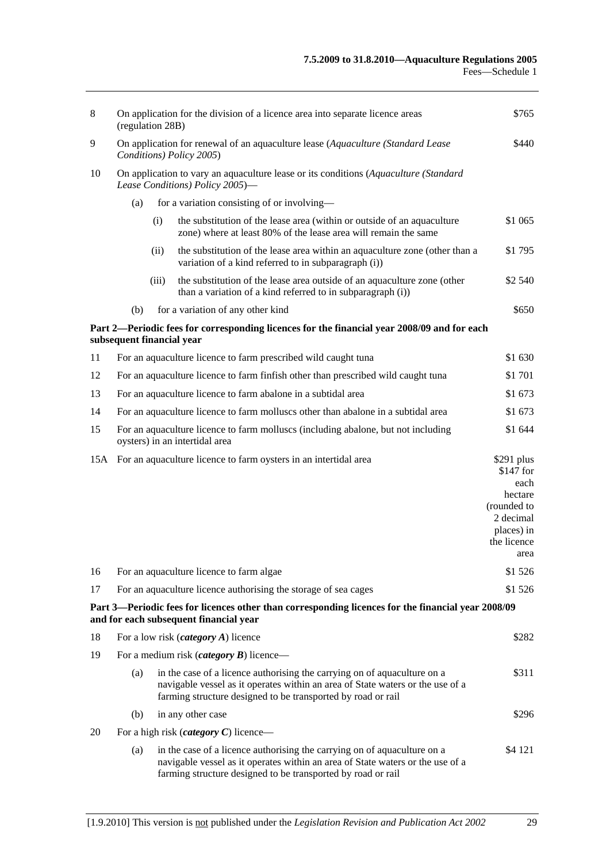| 8   | On application for the division of a licence area into separate licence areas<br>(regulation 28B)                       |       |                                                                                                                                                                                                                            | \$765                                                                                                         |
|-----|-------------------------------------------------------------------------------------------------------------------------|-------|----------------------------------------------------------------------------------------------------------------------------------------------------------------------------------------------------------------------------|---------------------------------------------------------------------------------------------------------------|
| 9   | On application for renewal of an aquaculture lease (Aquaculture (Standard Lease<br>Conditions) Policy 2005)             |       |                                                                                                                                                                                                                            | \$440                                                                                                         |
| 10  | On application to vary an aquaculture lease or its conditions (Aquaculture (Standard<br>Lease Conditions) Policy 2005)- |       |                                                                                                                                                                                                                            |                                                                                                               |
|     | (a)                                                                                                                     |       | for a variation consisting of or involving—                                                                                                                                                                                |                                                                                                               |
|     |                                                                                                                         | (i)   | the substitution of the lease area (within or outside of an aquaculture<br>zone) where at least 80% of the lease area will remain the same                                                                                 | \$1 065                                                                                                       |
|     |                                                                                                                         | (ii)  | the substitution of the lease area within an aquaculture zone (other than a<br>variation of a kind referred to in subparagraph (i))                                                                                        | \$1795                                                                                                        |
|     |                                                                                                                         | (iii) | the substitution of the lease area outside of an aquaculture zone (other<br>than a variation of a kind referred to in subparagraph (i))                                                                                    | \$2 540                                                                                                       |
|     | (b)                                                                                                                     |       | for a variation of any other kind                                                                                                                                                                                          | \$650                                                                                                         |
|     | subsequent financial year                                                                                               |       | Part 2—Periodic fees for corresponding licences for the financial year 2008/09 and for each                                                                                                                                |                                                                                                               |
| 11  |                                                                                                                         |       | For an aquaculture licence to farm prescribed wild caught tuna                                                                                                                                                             | \$1 630                                                                                                       |
| 12  | For an aquaculture licence to farm finfish other than prescribed wild caught tuna                                       |       |                                                                                                                                                                                                                            | \$1 701                                                                                                       |
| 13  |                                                                                                                         |       | For an aquaculture licence to farm abalone in a subtidal area                                                                                                                                                              | \$1 673                                                                                                       |
| 14  | For an aquaculture licence to farm molluscs other than abalone in a subtidal area                                       |       | \$1 673                                                                                                                                                                                                                    |                                                                                                               |
| 15  | For an aquaculture licence to farm molluscs (including abalone, but not including<br>oysters) in an intertidal area     |       | \$1 644                                                                                                                                                                                                                    |                                                                                                               |
| 15A |                                                                                                                         |       | For an aquaculture licence to farm oysters in an intertidal area                                                                                                                                                           | $$291$ plus<br>$$147$ for<br>each<br>hectare<br>(rounded to<br>2 decimal<br>places) in<br>the licence<br>area |
| 16  |                                                                                                                         |       | For an aquaculture licence to farm algae                                                                                                                                                                                   | \$1 526                                                                                                       |
| 17  |                                                                                                                         |       | For an aquaculture licence authorising the storage of sea cages                                                                                                                                                            | \$1 526                                                                                                       |
|     |                                                                                                                         |       | Part 3—Periodic fees for licences other than corresponding licences for the financial year 2008/09<br>and for each subsequent financial year                                                                               |                                                                                                               |
| 18  |                                                                                                                         |       | For a low risk <i>(category A)</i> licence                                                                                                                                                                                 | \$282                                                                                                         |
| 19  | For a medium risk ( <i>category</i> $B$ ) licence—                                                                      |       |                                                                                                                                                                                                                            |                                                                                                               |
|     | (a)                                                                                                                     |       | in the case of a licence authorising the carrying on of aquaculture on a<br>navigable vessel as it operates within an area of State waters or the use of a<br>farming structure designed to be transported by road or rail | \$311                                                                                                         |
|     | (b)                                                                                                                     |       | in any other case                                                                                                                                                                                                          | \$296                                                                                                         |
| 20  |                                                                                                                         |       | For a high risk ( <i>category C</i> ) licence—                                                                                                                                                                             |                                                                                                               |
|     | (a)                                                                                                                     |       | in the case of a licence authorising the carrying on of aquaculture on a<br>navigable vessel as it operates within an area of State waters or the use of a<br>farming structure designed to be transported by road or rail | \$4 121                                                                                                       |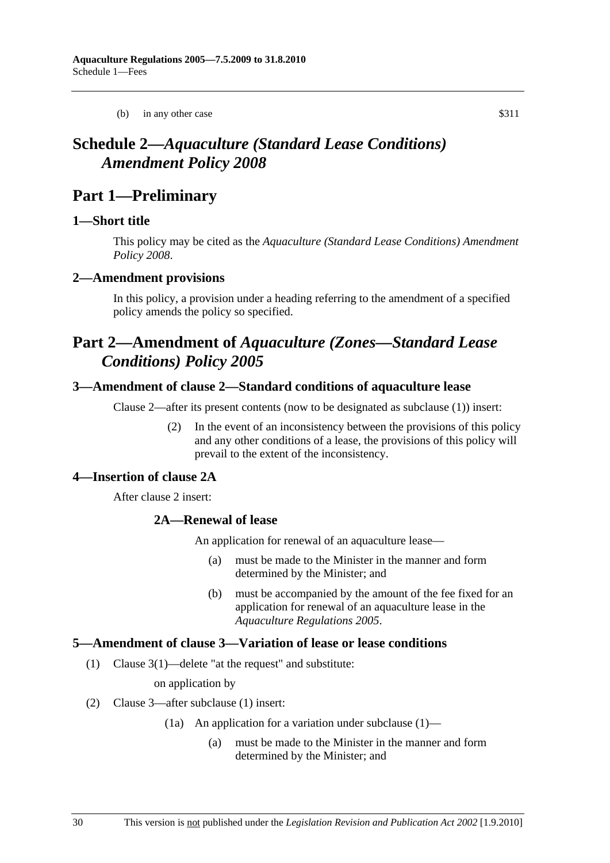(b) in any other case \$311

# <span id="page-29-0"></span>**Schedule 2—***Aquaculture (Standard Lease Conditions) Amendment Policy 2008*

## **Part 1—Preliminary**

#### **1—Short title**

This policy may be cited as the *[Aquaculture \(Standard Lease Conditions\) Amendment](http://www.legislation.sa.gov.au/index.aspx?action=legref&type=subordleg&legtitle=Aquaculture%20(Standard%20Lease%20Conditions)%20Amendment%20Policy%202008)  [Policy 2008](http://www.legislation.sa.gov.au/index.aspx?action=legref&type=subordleg&legtitle=Aquaculture%20(Standard%20Lease%20Conditions)%20Amendment%20Policy%202008)*.

#### **2—Amendment provisions**

In this policy, a provision under a heading referring to the amendment of a specified policy amends the policy so specified.

# **Part 2—Amendment of** *Aquaculture (Zones—Standard Lease Conditions) Policy 2005*

#### **3—Amendment of clause 2—Standard conditions of aquaculture lease**

Clause 2—after its present contents (now to be designated as subclause (1)) insert:

 (2) In the event of an inconsistency between the provisions of this policy and any other conditions of a lease, the provisions of this policy will prevail to the extent of the inconsistency.

#### **4—Insertion of clause 2A**

After clause 2 insert:

#### **2A—Renewal of lease**

An application for renewal of an aquaculture lease—

- (a) must be made to the Minister in the manner and form determined by the Minister; and
- (b) must be accompanied by the amount of the fee fixed for an application for renewal of an aquaculture lease in the *[Aquaculture Regulations 2005](http://www.legislation.sa.gov.au/index.aspx?action=legref&type=subordleg&legtitle=Aquaculture%20Regulations%202005)*.

#### **5—Amendment of clause 3—Variation of lease or lease conditions**

(1) Clause 3(1)—delete "at the request" and substitute:

on application by

- (2) Clause 3—after subclause (1) insert:
	- (1a) An application for a variation under subclause (1)—
		- (a) must be made to the Minister in the manner and form determined by the Minister; and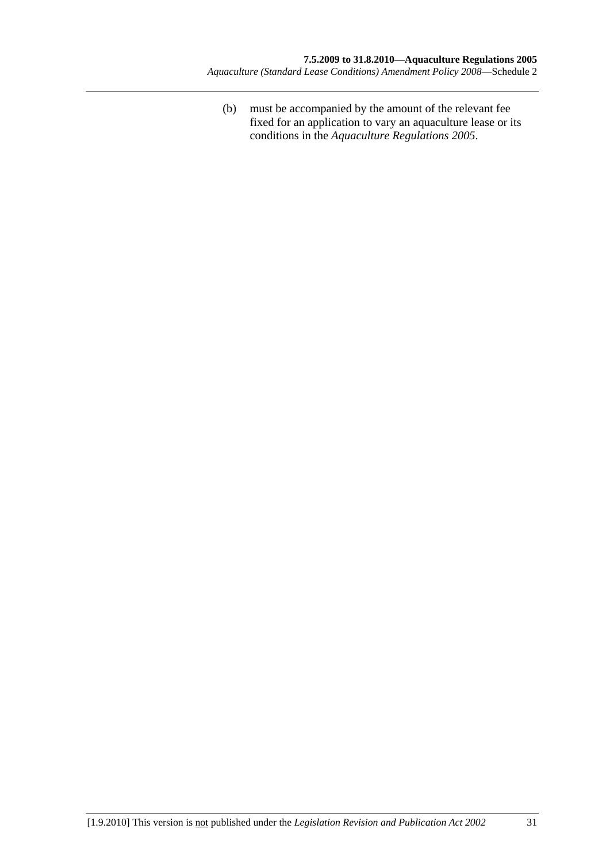(b) must be accompanied by the amount of the relevant fee fixed for an application to vary an aquaculture lease or its conditions in the *[Aquaculture Regulations 2005](http://www.legislation.sa.gov.au/index.aspx?action=legref&type=subordleg&legtitle=Aquaculture%20Regulations%202005)*.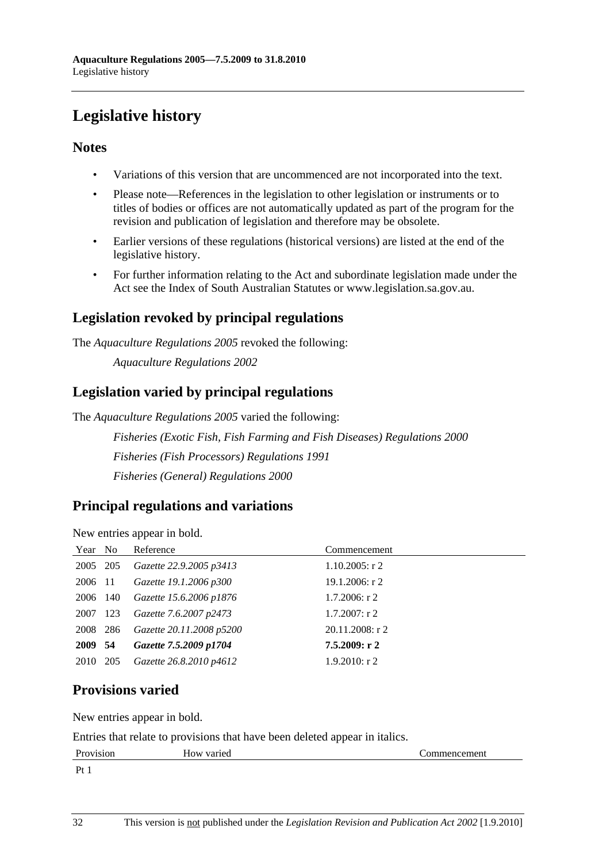# <span id="page-31-0"></span>**Legislative history**

## **Notes**

- Variations of this version that are uncommenced are not incorporated into the text.
- Please note—References in the legislation to other legislation or instruments or to titles of bodies or offices are not automatically updated as part of the program for the revision and publication of legislation and therefore may be obsolete.
- Earlier versions of these regulations (historical versions) are listed at the end of the legislative history.
- For further information relating to the Act and subordinate legislation made under the Act see the Index of South Australian Statutes or www.legislation.sa.gov.au.

## **Legislation revoked by principal regulations**

The *Aquaculture Regulations 2005* revoked the following:

*Aquaculture Regulations 2002*

## **Legislation varied by principal regulations**

The *Aquaculture Regulations 2005* varied the following:

*Fisheries (Exotic Fish, Fish Farming and Fish Diseases) Regulations 2000 Fisheries (Fish Processors) Regulations 1991 Fisheries (General) Regulations 2000*

## **Principal regulations and variations**

New entries appear in bold.

| Year No  |     | Reference                | Commencement       |
|----------|-----|--------------------------|--------------------|
| 2005 205 |     | Gazette 22.9.2005 p3413  | $1.10.2005$ : r 2  |
| 2006 11  |     | Gazette 19.1.2006 p300   | $19.1.2006$ : r 2  |
| 2006 140 |     | Gazette 15.6.2006 p1876  | $1.7.2006$ : r 2   |
| 2007     | 123 | Gazette 7.6.2007 p2473   | $1.7.2007$ : r 2   |
| 2008     | 286 | Gazette 20.11.2008 p5200 | $20.11.2008$ : r 2 |
| 2009 54  |     | Gazette 7.5.2009 p1704   | 7.5.2009: r2       |
| 2010 205 |     | Gazette 26.8.2010 p4612  | $1.9.2010$ : r 2   |

## **Provisions varied**

New entries appear in bold.

Entries that relate to provisions that have been deleted appear in italics.

| Provision        | How varied | `ommencement |
|------------------|------------|--------------|
| $p_{t}$<br>1 t 1 |            |              |